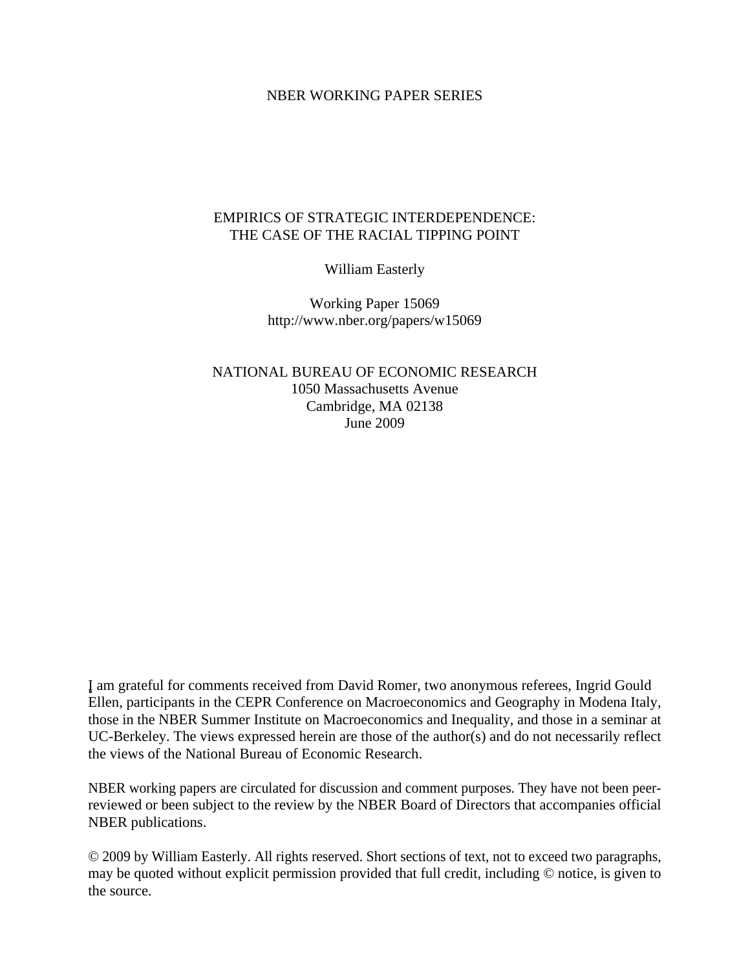## NBER WORKING PAPER SERIES

# EMPIRICS OF STRATEGIC INTERDEPENDENCE: THE CASE OF THE RACIAL TIPPING POINT

William Easterly

Working Paper 15069 http://www.nber.org/papers/w15069

NATIONAL BUREAU OF ECONOMIC RESEARCH 1050 Massachusetts Avenue Cambridge, MA 02138 June 2009

¸˛I am grateful for comments received from David Romer, two anonymous referees, Ingrid Gould Ellen, participants in the CEPR Conference on Macroeconomics and Geography in Modena Italy, those in the NBER Summer Institute on Macroeconomics and Inequality, and those in a seminar at UC-Berkeley. The views expressed herein are those of the author(s) and do not necessarily reflect the views of the National Bureau of Economic Research.

NBER working papers are circulated for discussion and comment purposes. They have not been peerreviewed or been subject to the review by the NBER Board of Directors that accompanies official NBER publications.

© 2009 by William Easterly. All rights reserved. Short sections of text, not to exceed two paragraphs, may be quoted without explicit permission provided that full credit, including © notice, is given to the source.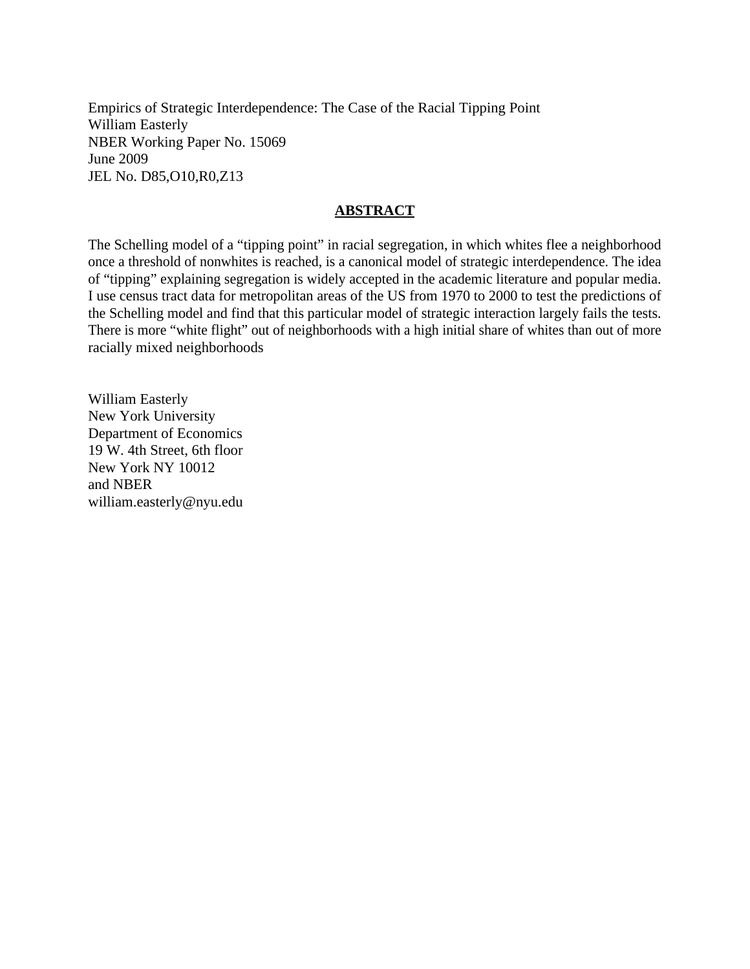Empirics of Strategic Interdependence: The Case of the Racial Tipping Point William Easterly NBER Working Paper No. 15069 June 2009 JEL No. D85,O10,R0,Z13

# **ABSTRACT**

The Schelling model of a "tipping point" in racial segregation, in which whites flee a neighborhood once a threshold of nonwhites is reached, is a canonical model of strategic interdependence. The idea of "tipping" explaining segregation is widely accepted in the academic literature and popular media. I use census tract data for metropolitan areas of the US from 1970 to 2000 to test the predictions of the Schelling model and find that this particular model of strategic interaction largely fails the tests. There is more "white flight" out of neighborhoods with a high initial share of whites than out of more racially mixed neighborhoods

William Easterly New York University Department of Economics 19 W. 4th Street, 6th floor New York NY 10012 and NBER william.easterly@nyu.edu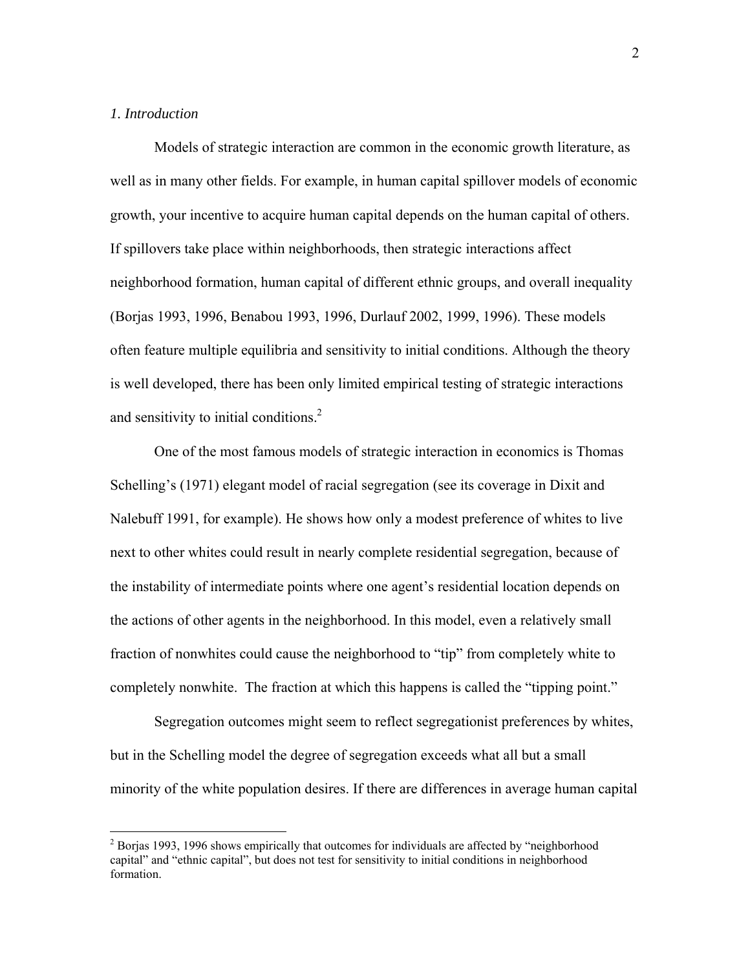# *1. Introduction*

 $\overline{a}$ 

Models of strategic interaction are common in the economic growth literature, as well as in many other fields. For example, in human capital spillover models of economic growth, your incentive to acquire human capital depends on the human capital of others. If spillovers take place within neighborhoods, then strategic interactions affect neighborhood formation, human capital of different ethnic groups, and overall inequality (Borjas 1993, 1996, Benabou 1993, 1996, Durlauf 2002, 1999, 1996). These models often feature multiple equilibria and sensitivity to initial conditions. Although the theory is well developed, there has been only limited empirical testing of strategic interactions and sensitivity to initial conditions.<sup>2</sup>

One of the most famous models of strategic interaction in economics is Thomas Schelling's (1971) elegant model of racial segregation (see its coverage in Dixit and Nalebuff 1991, for example). He shows how only a modest preference of whites to live next to other whites could result in nearly complete residential segregation, because of the instability of intermediate points where one agent's residential location depends on the actions of other agents in the neighborhood. In this model, even a relatively small fraction of nonwhites could cause the neighborhood to "tip" from completely white to completely nonwhite. The fraction at which this happens is called the "tipping point."

Segregation outcomes might seem to reflect segregationist preferences by whites, but in the Schelling model the degree of segregation exceeds what all but a small minority of the white population desires. If there are differences in average human capital

 $2^{2}$  Borjas 1993, 1996 shows empirically that outcomes for individuals are affected by "neighborhood capital" and "ethnic capital", but does not test for sensitivity to initial conditions in neighborhood formation.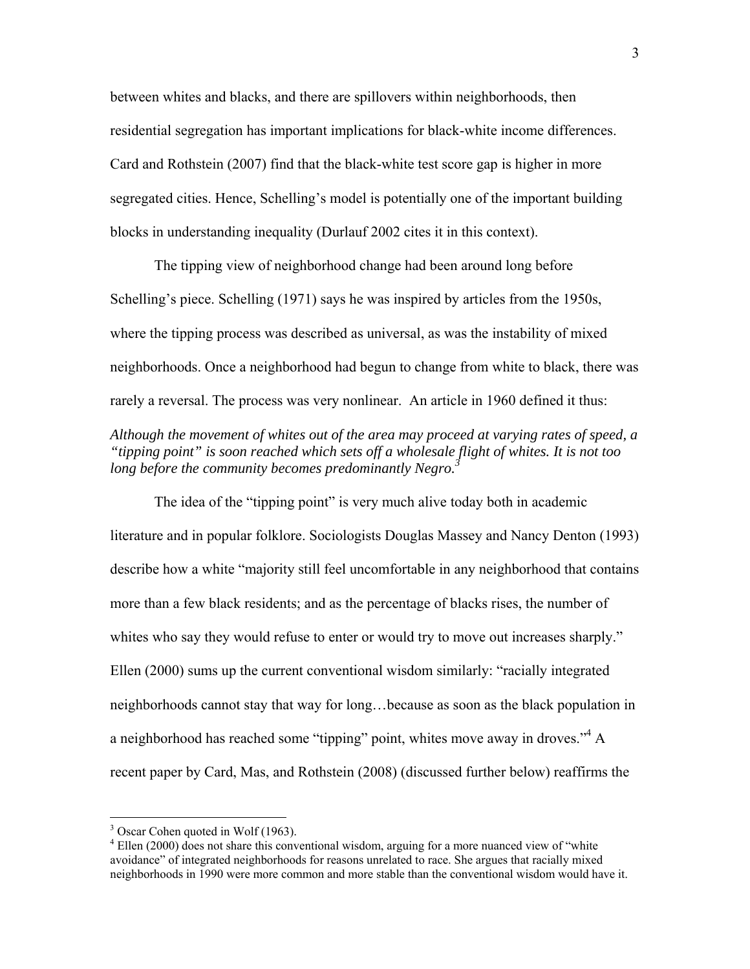between whites and blacks, and there are spillovers within neighborhoods, then residential segregation has important implications for black-white income differences. Card and Rothstein (2007) find that the black-white test score gap is higher in more segregated cities. Hence, Schelling's model is potentially one of the important building blocks in understanding inequality (Durlauf 2002 cites it in this context).

The tipping view of neighborhood change had been around long before Schelling's piece. Schelling (1971) says he was inspired by articles from the 1950s, where the tipping process was described as universal, as was the instability of mixed neighborhoods. Once a neighborhood had begun to change from white to black, there was rarely a reversal. The process was very nonlinear. An article in 1960 defined it thus:

# *Although the movement of whites out of the area may proceed at varying rates of speed, a "tipping point" is soon reached which sets off a wholesale flight of whites. It is not too long before the community becomes predominantly Negro.*<sup>3</sup>

The idea of the "tipping point" is very much alive today both in academic literature and in popular folklore. Sociologists Douglas Massey and Nancy Denton (1993) describe how a white "majority still feel uncomfortable in any neighborhood that contains more than a few black residents; and as the percentage of blacks rises, the number of whites who say they would refuse to enter or would try to move out increases sharply." Ellen (2000) sums up the current conventional wisdom similarly: "racially integrated neighborhoods cannot stay that way for long…because as soon as the black population in a neighborhood has reached some "tipping" point, whites move away in droves."<sup>4</sup> A recent paper by Card, Mas, and Rothstein (2008) (discussed further below) reaffirms the

<sup>&</sup>lt;sup>3</sup> Oscar Cohen quoted in Wolf (1963).

<sup>&</sup>lt;sup>4</sup> Ellen (2000) does not share this conventional wisdom, arguing for a more nuanced view of "white avoidance" of integrated neighborhoods for reasons unrelated to race. She argues that racially mixed neighborhoods in 1990 were more common and more stable than the conventional wisdom would have it.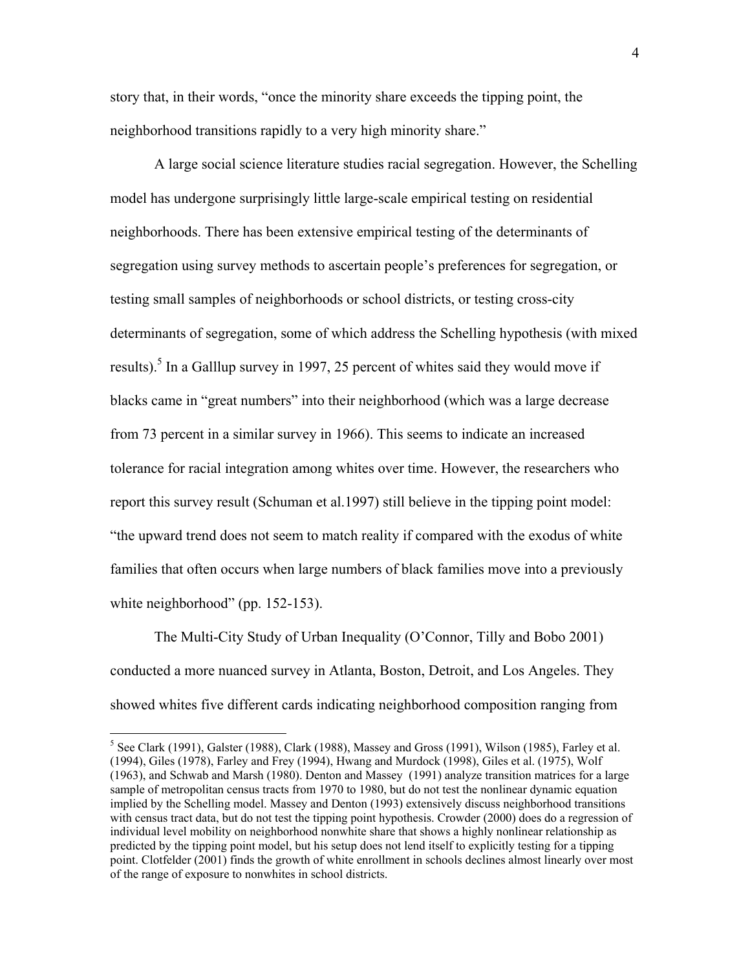story that, in their words, "once the minority share exceeds the tipping point, the neighborhood transitions rapidly to a very high minority share."

A large social science literature studies racial segregation. However, the Schelling model has undergone surprisingly little large-scale empirical testing on residential neighborhoods. There has been extensive empirical testing of the determinants of segregation using survey methods to ascertain people's preferences for segregation, or testing small samples of neighborhoods or school districts, or testing cross-city determinants of segregation, some of which address the Schelling hypothesis (with mixed results).<sup>5</sup> In a Galllup survey in 1997, 25 percent of whites said they would move if blacks came in "great numbers" into their neighborhood (which was a large decrease from 73 percent in a similar survey in 1966). This seems to indicate an increased tolerance for racial integration among whites over time. However, the researchers who report this survey result (Schuman et al.1997) still believe in the tipping point model: "the upward trend does not seem to match reality if compared with the exodus of white families that often occurs when large numbers of black families move into a previously white neighborhood" (pp. 152-153).

The Multi-City Study of Urban Inequality (O'Connor, Tilly and Bobo 2001) conducted a more nuanced survey in Atlanta, Boston, Detroit, and Los Angeles. They showed whites five different cards indicating neighborhood composition ranging from

 $\overline{a}$ 

<sup>&</sup>lt;sup>5</sup> See Clark (1991), Galster (1988), Clark (1988), Massey and Gross (1991), Wilson (1985), Farley et al. (1994), Giles (1978), Farley and Frey (1994), Hwang and Murdock (1998), Giles et al. (1975), Wolf (1963), and Schwab and Marsh (1980). Denton and Massey (1991) analyze transition matrices for a large sample of metropolitan census tracts from 1970 to 1980, but do not test the nonlinear dynamic equation implied by the Schelling model. Massey and Denton (1993) extensively discuss neighborhood transitions with census tract data, but do not test the tipping point hypothesis. Crowder (2000) does do a regression of individual level mobility on neighborhood nonwhite share that shows a highly nonlinear relationship as predicted by the tipping point model, but his setup does not lend itself to explicitly testing for a tipping point. Clotfelder (2001) finds the growth of white enrollment in schools declines almost linearly over most of the range of exposure to nonwhites in school districts.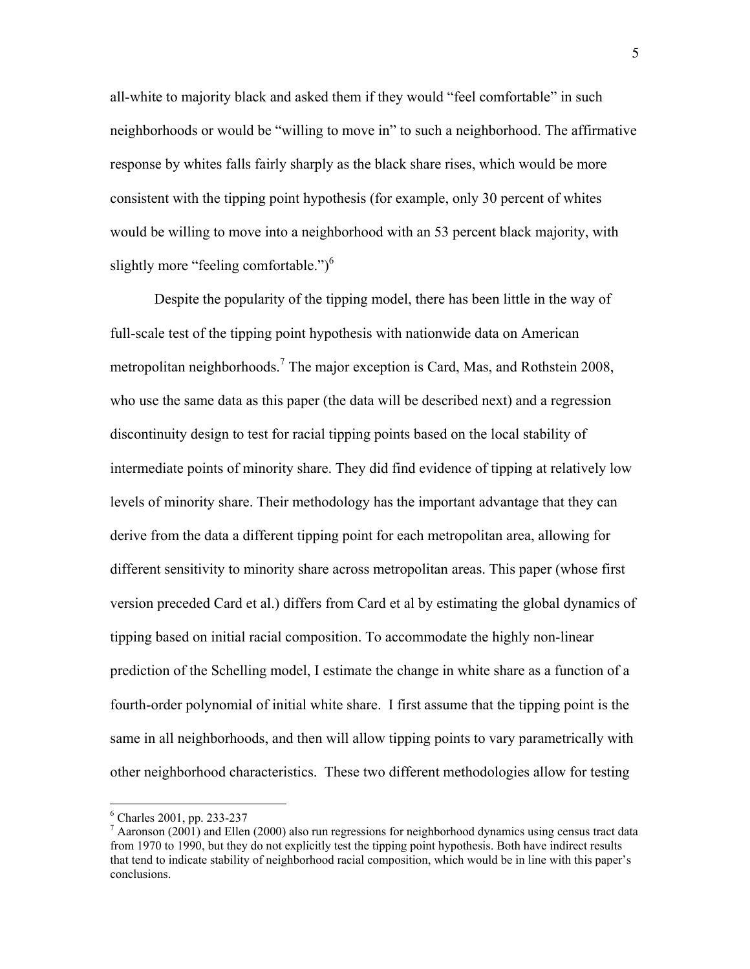all-white to majority black and asked them if they would "feel comfortable" in such neighborhoods or would be "willing to move in" to such a neighborhood. The affirmative response by whites falls fairly sharply as the black share rises, which would be more consistent with the tipping point hypothesis (for example, only 30 percent of whites would be willing to move into a neighborhood with an 53 percent black majority, with slightly more "feeling comfortable.") $<sup>6</sup>$ </sup>

Despite the popularity of the tipping model, there has been little in the way of full-scale test of the tipping point hypothesis with nationwide data on American metropolitan neighborhoods.<sup>7</sup> The major exception is Card, Mas, and Rothstein 2008, who use the same data as this paper (the data will be described next) and a regression discontinuity design to test for racial tipping points based on the local stability of intermediate points of minority share. They did find evidence of tipping at relatively low levels of minority share. Their methodology has the important advantage that they can derive from the data a different tipping point for each metropolitan area, allowing for different sensitivity to minority share across metropolitan areas. This paper (whose first version preceded Card et al.) differs from Card et al by estimating the global dynamics of tipping based on initial racial composition. To accommodate the highly non-linear prediction of the Schelling model, I estimate the change in white share as a function of a fourth-order polynomial of initial white share. I first assume that the tipping point is the same in all neighborhoods, and then will allow tipping points to vary parametrically with other neighborhood characteristics. These two different methodologies allow for testing

1

<sup>6</sup> Charles 2001, pp. 233-237

 $^7$  Aaronson (2001) and Ellen (2000) also run regressions for neighborhood dynamics using census tract data from 1970 to 1990, but they do not explicitly test the tipping point hypothesis. Both have indirect results that tend to indicate stability of neighborhood racial composition, which would be in line with this paper's conclusions.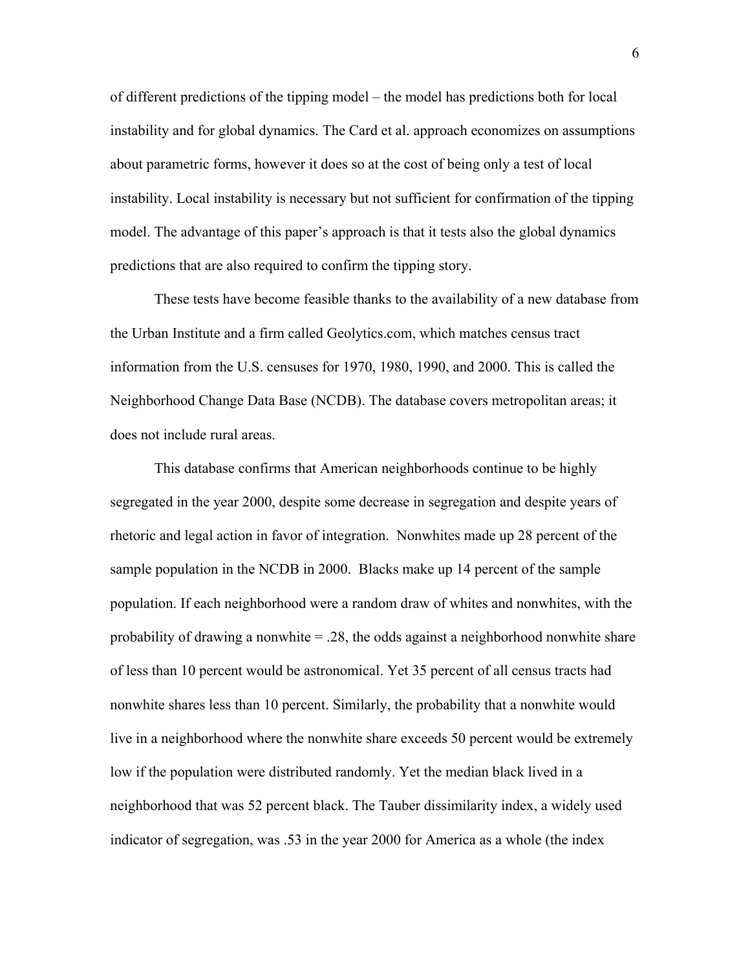of different predictions of the tipping model – the model has predictions both for local instability and for global dynamics. The Card et al. approach economizes on assumptions about parametric forms, however it does so at the cost of being only a test of local instability. Local instability is necessary but not sufficient for confirmation of the tipping model. The advantage of this paper's approach is that it tests also the global dynamics predictions that are also required to confirm the tipping story.

These tests have become feasible thanks to the availability of a new database from the Urban Institute and a firm called Geolytics.com, which matches census tract information from the U.S. censuses for 1970, 1980, 1990, and 2000. This is called the Neighborhood Change Data Base (NCDB). The database covers metropolitan areas; it does not include rural areas.

This database confirms that American neighborhoods continue to be highly segregated in the year 2000, despite some decrease in segregation and despite years of rhetoric and legal action in favor of integration. Nonwhites made up 28 percent of the sample population in the NCDB in 2000. Blacks make up 14 percent of the sample population. If each neighborhood were a random draw of whites and nonwhites, with the probability of drawing a nonwhite  $= .28$ , the odds against a neighborhood nonwhite share of less than 10 percent would be astronomical. Yet 35 percent of all census tracts had nonwhite shares less than 10 percent. Similarly, the probability that a nonwhite would live in a neighborhood where the nonwhite share exceeds 50 percent would be extremely low if the population were distributed randomly. Yet the median black lived in a neighborhood that was 52 percent black. The Tauber dissimilarity index, a widely used indicator of segregation, was .53 in the year 2000 for America as a whole (the index

6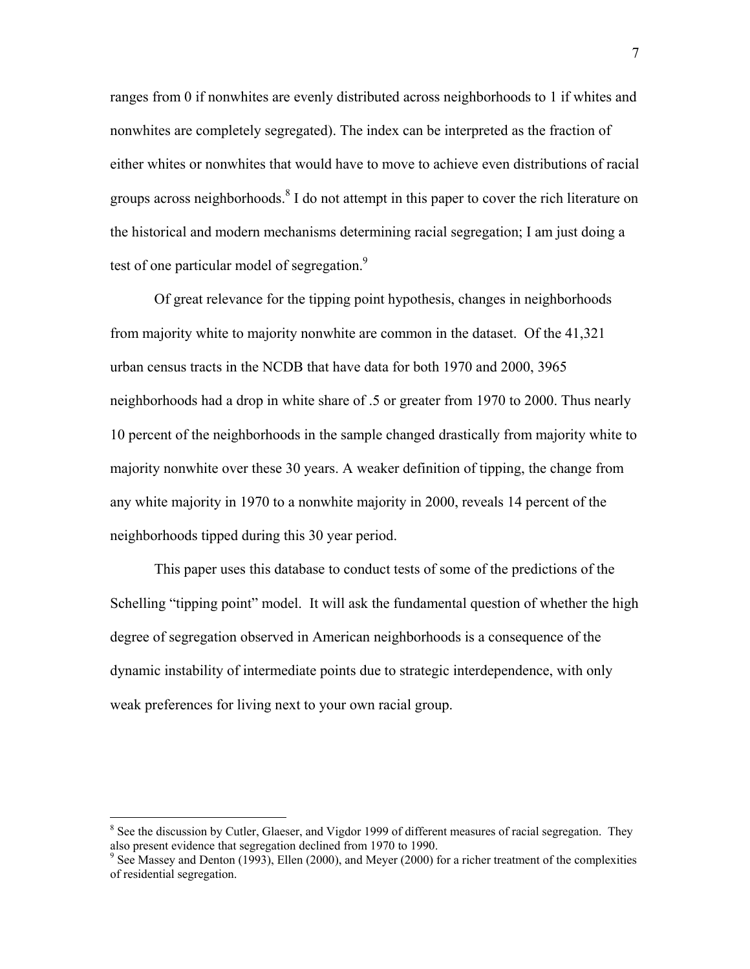ranges from 0 if nonwhites are evenly distributed across neighborhoods to 1 if whites and nonwhites are completely segregated). The index can be interpreted as the fraction of either whites or nonwhites that would have to move to achieve even distributions of racial groups across neighborhoods.<sup>8</sup> I do not attempt in this paper to cover the rich literature on the historical and modern mechanisms determining racial segregation; I am just doing a test of one particular model of segregation. $9$ 

Of great relevance for the tipping point hypothesis, changes in neighborhoods from majority white to majority nonwhite are common in the dataset. Of the 41,321 urban census tracts in the NCDB that have data for both 1970 and 2000, 3965 neighborhoods had a drop in white share of .5 or greater from 1970 to 2000. Thus nearly 10 percent of the neighborhoods in the sample changed drastically from majority white to majority nonwhite over these 30 years. A weaker definition of tipping, the change from any white majority in 1970 to a nonwhite majority in 2000, reveals 14 percent of the neighborhoods tipped during this 30 year period.

This paper uses this database to conduct tests of some of the predictions of the Schelling "tipping point" model. It will ask the fundamental question of whether the high degree of segregation observed in American neighborhoods is a consequence of the dynamic instability of intermediate points due to strategic interdependence, with only weak preferences for living next to your own racial group.

 $\overline{a}$ 

<sup>&</sup>lt;sup>8</sup> See the discussion by Cutler, Glaeser, and Vigdor 1999 of different measures of racial segregation. They also present evidence that segregation declined from 1970 to 1990.

 $9$  See Massey and Denton (1993), Ellen (2000), and Meyer (2000) for a richer treatment of the complexities of residential segregation.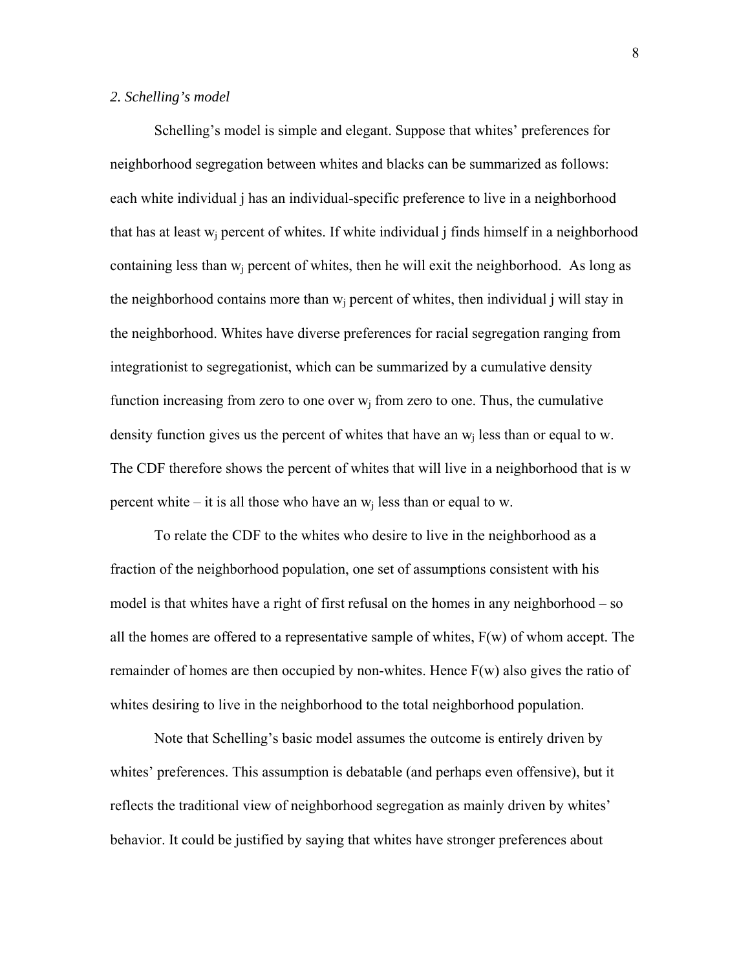#### *2. Schelling's model*

 Schelling's model is simple and elegant. Suppose that whites' preferences for neighborhood segregation between whites and blacks can be summarized as follows: each white individual j has an individual-specific preference to live in a neighborhood that has at least  $w_i$  percent of whites. If white individual j finds himself in a neighborhood containing less than  $w_i$  percent of whites, then he will exit the neighborhood. As long as the neighborhood contains more than  $w_i$  percent of whites, then individual j will stay in the neighborhood. Whites have diverse preferences for racial segregation ranging from integrationist to segregationist, which can be summarized by a cumulative density function increasing from zero to one over  $w_i$  from zero to one. Thus, the cumulative density function gives us the percent of whites that have an  $w_i$  less than or equal to w. The CDF therefore shows the percent of whites that will live in a neighborhood that is w percent white – it is all those who have an  $w_i$  less than or equal to w.

To relate the CDF to the whites who desire to live in the neighborhood as a fraction of the neighborhood population, one set of assumptions consistent with his model is that whites have a right of first refusal on the homes in any neighborhood – so all the homes are offered to a representative sample of whites,  $F(w)$  of whom accept. The remainder of homes are then occupied by non-whites. Hence F(w) also gives the ratio of whites desiring to live in the neighborhood to the total neighborhood population.

Note that Schelling's basic model assumes the outcome is entirely driven by whites' preferences. This assumption is debatable (and perhaps even offensive), but it reflects the traditional view of neighborhood segregation as mainly driven by whites' behavior. It could be justified by saying that whites have stronger preferences about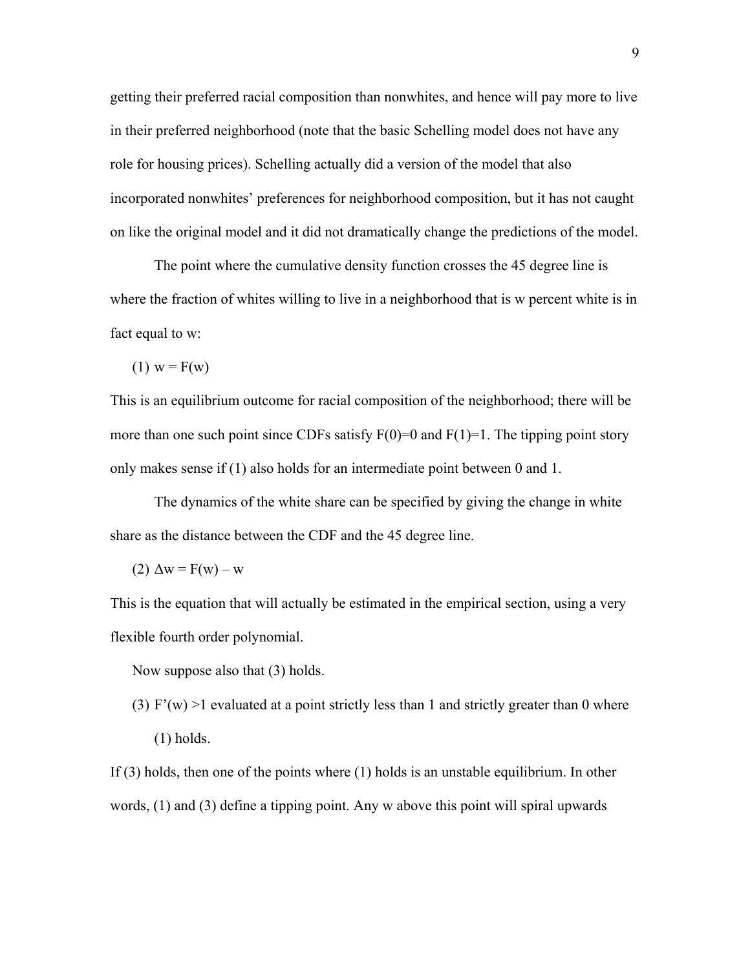getting their preferred racial composition than nonwhites, and hence will pay more to live in their preferred neighborhood (note that the basic Schelling model does not have any role for housing prices). Schelling actually did a version of the model that also incorporated nonwhites' preferences for neighborhood composition, but it has not caught on like the original model and it did not dramatically change the predictions of the model.

 The point where the cumulative density function crosses the 45 degree line is where the fraction of whites willing to live in a neighborhood that is w percent white is in fact equal to w:

(1) 
$$
w = F(w)
$$

This is an equilibrium outcome for racial composition of the neighborhood; there will be more than one such point since CDFs satisfy  $F(0)=0$  and  $F(1)=1$ . The tipping point story only makes sense if (1) also holds for an intermediate point between 0 and 1.

The dynamics of the white share can be specified by giving the change in white share as the distance between the CDF and the 45 degree line.

$$
(2) \Delta w = F(w) - w
$$

This is the equation that will actually be estimated in the empirical section, using a very flexible fourth order polynomial.

Now suppose also that (3) holds.

(3)  $F'(w) > 1$  evaluated at a point strictly less than 1 and strictly greater than 0 where (1) holds.

If (3) holds, then one of the points where (1) holds is an unstable equilibrium. In other words, (1) and (3) define a tipping point. Any w above this point will spiral upwards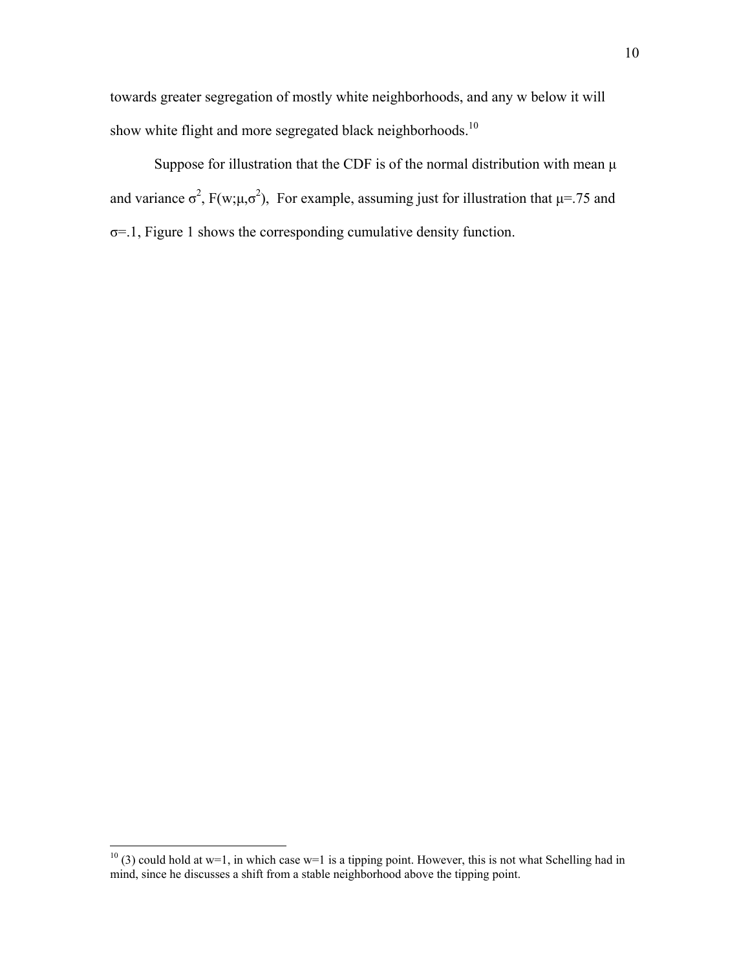towards greater segregation of mostly white neighborhoods, and any w below it will show white flight and more segregated black neighborhoods.<sup>10</sup>

Suppose for illustration that the CDF is of the normal distribution with mean μ and variance  $\sigma^2$ , F(w; $\mu$ , $\sigma^2$ ), For example, assuming just for illustration that  $\mu$ =.75 and σ=.1, Figure 1 shows the corresponding cumulative density function.

 $\overline{a}$ 

 $10$  (3) could hold at w=1, in which case w=1 is a tipping point. However, this is not what Schelling had in mind, since he discusses a shift from a stable neighborhood above the tipping point.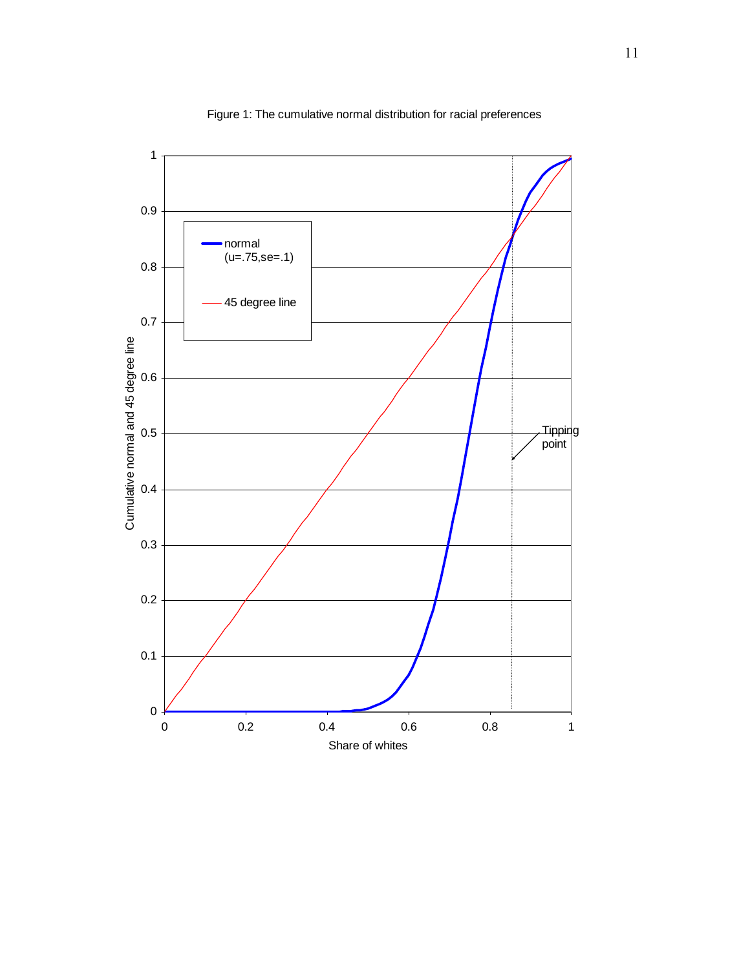

Figure 1: The cumulative normal distribution for racial preferences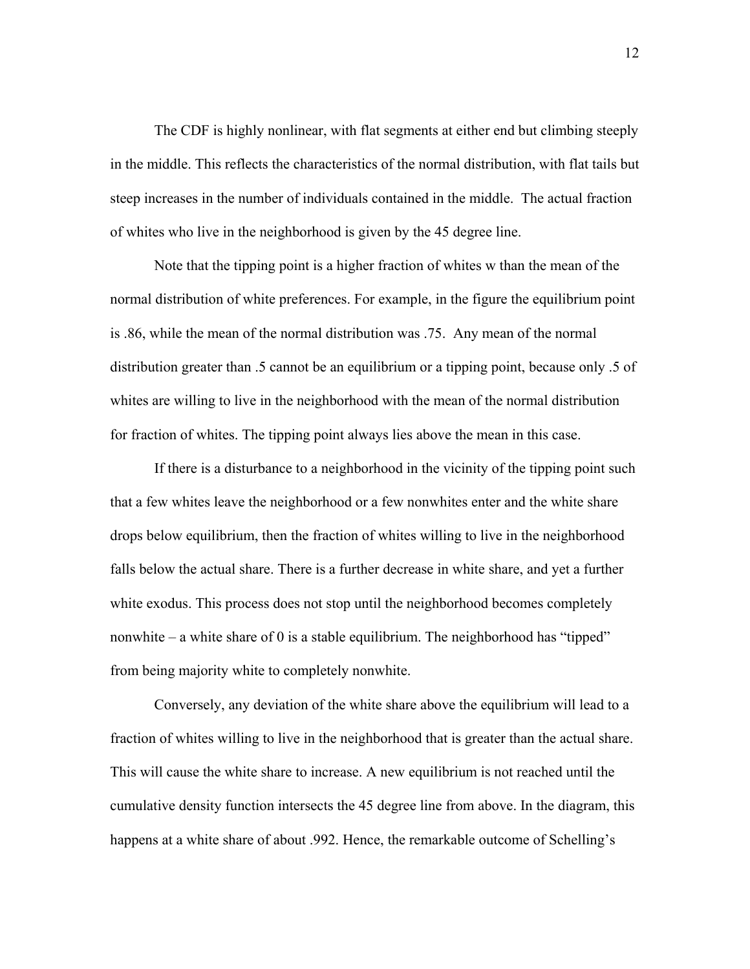The CDF is highly nonlinear, with flat segments at either end but climbing steeply in the middle. This reflects the characteristics of the normal distribution, with flat tails but steep increases in the number of individuals contained in the middle. The actual fraction of whites who live in the neighborhood is given by the 45 degree line.

Note that the tipping point is a higher fraction of whites w than the mean of the normal distribution of white preferences. For example, in the figure the equilibrium point is .86, while the mean of the normal distribution was .75. Any mean of the normal distribution greater than .5 cannot be an equilibrium or a tipping point, because only .5 of whites are willing to live in the neighborhood with the mean of the normal distribution for fraction of whites. The tipping point always lies above the mean in this case.

If there is a disturbance to a neighborhood in the vicinity of the tipping point such that a few whites leave the neighborhood or a few nonwhites enter and the white share drops below equilibrium, then the fraction of whites willing to live in the neighborhood falls below the actual share. There is a further decrease in white share, and yet a further white exodus. This process does not stop until the neighborhood becomes completely nonwhite – a white share of 0 is a stable equilibrium. The neighborhood has "tipped" from being majority white to completely nonwhite.

Conversely, any deviation of the white share above the equilibrium will lead to a fraction of whites willing to live in the neighborhood that is greater than the actual share. This will cause the white share to increase. A new equilibrium is not reached until the cumulative density function intersects the 45 degree line from above. In the diagram, this happens at a white share of about .992. Hence, the remarkable outcome of Schelling's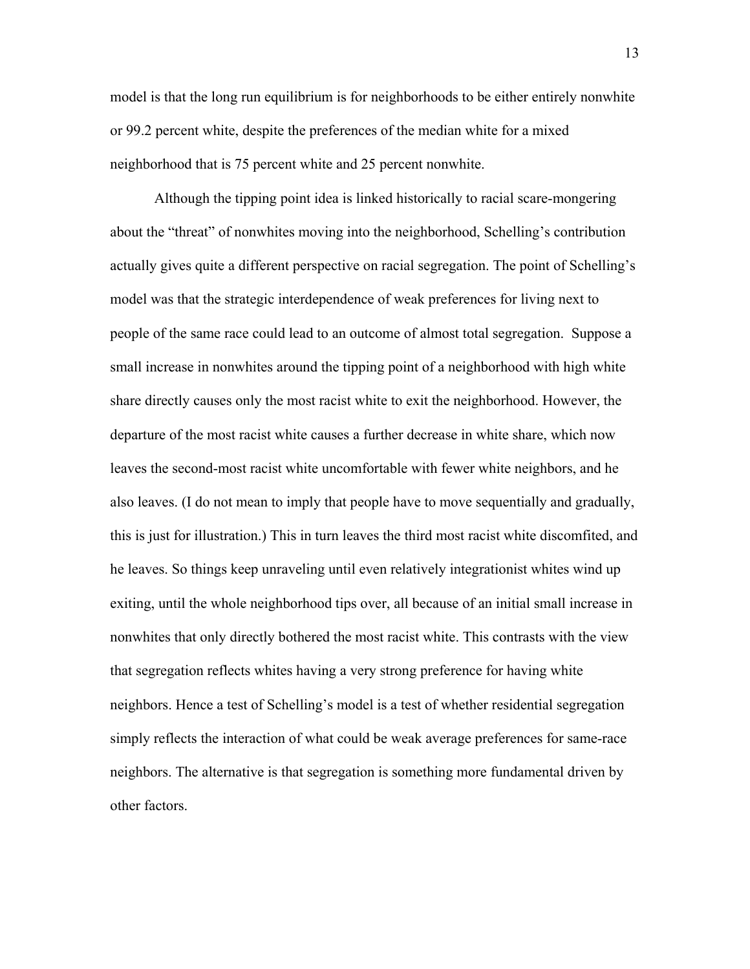model is that the long run equilibrium is for neighborhoods to be either entirely nonwhite or 99.2 percent white, despite the preferences of the median white for a mixed neighborhood that is 75 percent white and 25 percent nonwhite.

Although the tipping point idea is linked historically to racial scare-mongering about the "threat" of nonwhites moving into the neighborhood, Schelling's contribution actually gives quite a different perspective on racial segregation. The point of Schelling's model was that the strategic interdependence of weak preferences for living next to people of the same race could lead to an outcome of almost total segregation. Suppose a small increase in nonwhites around the tipping point of a neighborhood with high white share directly causes only the most racist white to exit the neighborhood. However, the departure of the most racist white causes a further decrease in white share, which now leaves the second-most racist white uncomfortable with fewer white neighbors, and he also leaves. (I do not mean to imply that people have to move sequentially and gradually, this is just for illustration.) This in turn leaves the third most racist white discomfited, and he leaves. So things keep unraveling until even relatively integrationist whites wind up exiting, until the whole neighborhood tips over, all because of an initial small increase in nonwhites that only directly bothered the most racist white. This contrasts with the view that segregation reflects whites having a very strong preference for having white neighbors. Hence a test of Schelling's model is a test of whether residential segregation simply reflects the interaction of what could be weak average preferences for same-race neighbors. The alternative is that segregation is something more fundamental driven by other factors.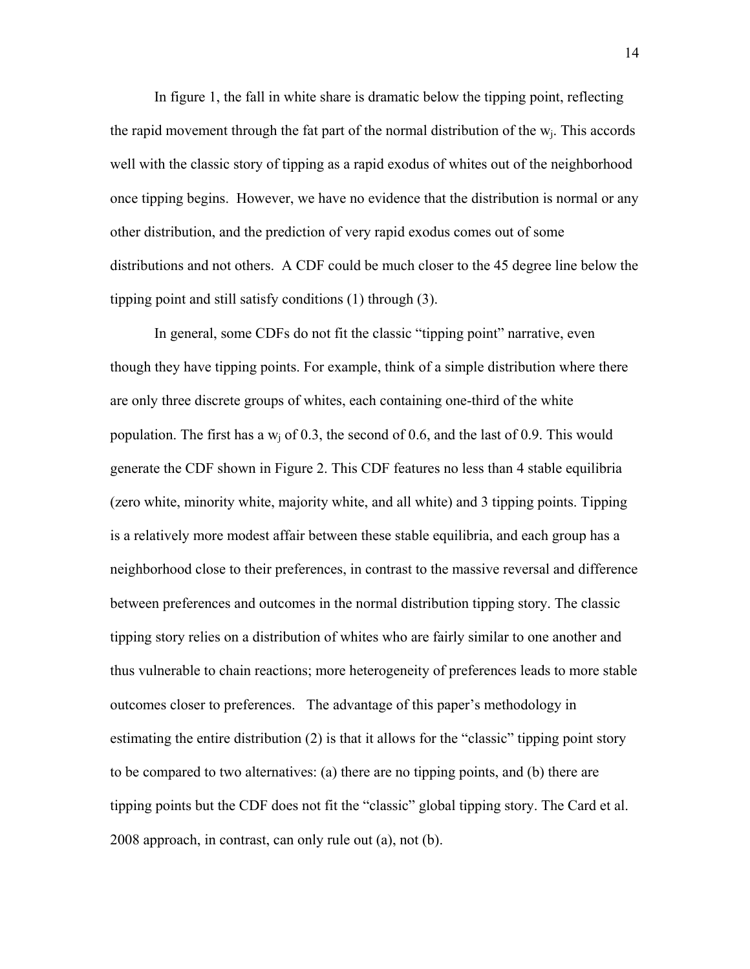In figure 1, the fall in white share is dramatic below the tipping point, reflecting the rapid movement through the fat part of the normal distribution of the  $w_i$ . This accords well with the classic story of tipping as a rapid exodus of whites out of the neighborhood once tipping begins. However, we have no evidence that the distribution is normal or any other distribution, and the prediction of very rapid exodus comes out of some distributions and not others. A CDF could be much closer to the 45 degree line below the tipping point and still satisfy conditions (1) through (3).

In general, some CDFs do not fit the classic "tipping point" narrative, even though they have tipping points. For example, think of a simple distribution where there are only three discrete groups of whites, each containing one-third of the white population. The first has a  $w_i$  of 0.3, the second of 0.6, and the last of 0.9. This would generate the CDF shown in Figure 2. This CDF features no less than 4 stable equilibria (zero white, minority white, majority white, and all white) and 3 tipping points. Tipping is a relatively more modest affair between these stable equilibria, and each group has a neighborhood close to their preferences, in contrast to the massive reversal and difference between preferences and outcomes in the normal distribution tipping story. The classic tipping story relies on a distribution of whites who are fairly similar to one another and thus vulnerable to chain reactions; more heterogeneity of preferences leads to more stable outcomes closer to preferences. The advantage of this paper's methodology in estimating the entire distribution (2) is that it allows for the "classic" tipping point story to be compared to two alternatives: (a) there are no tipping points, and (b) there are tipping points but the CDF does not fit the "classic" global tipping story. The Card et al. 2008 approach, in contrast, can only rule out (a), not (b).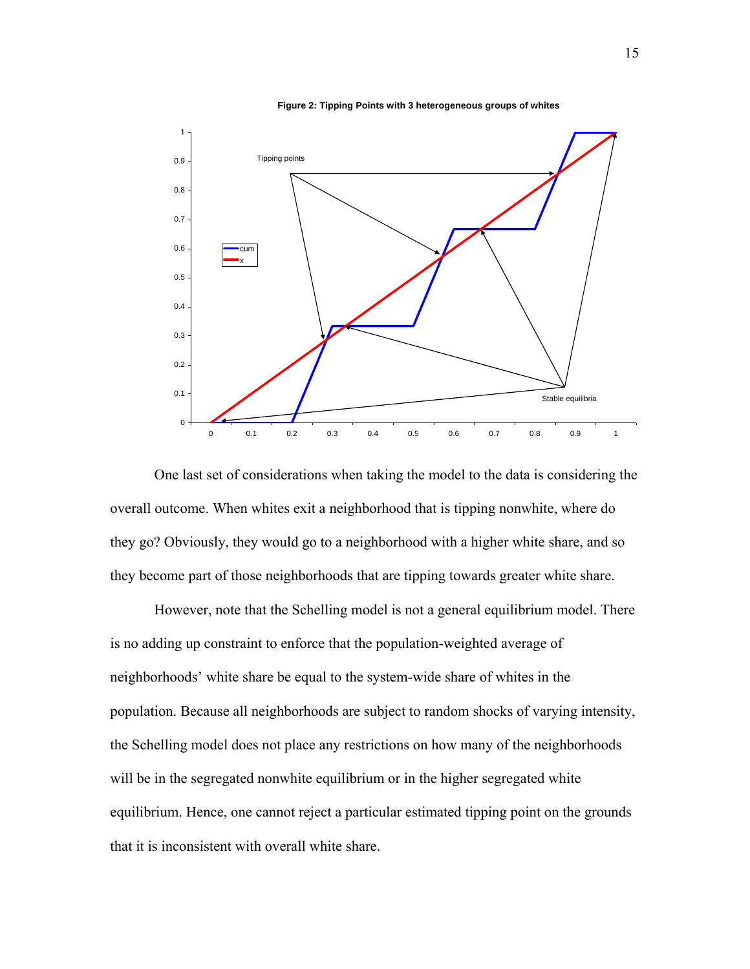

**Figure 2: Tipping Points with 3 heterogeneous groups of whites**

One last set of considerations when taking the model to the data is considering the overall outcome. When whites exit a neighborhood that is tipping nonwhite, where do they go? Obviously, they would go to a neighborhood with a higher white share, and so they become part of those neighborhoods that are tipping towards greater white share.

However, note that the Schelling model is not a general equilibrium model. There is no adding up constraint to enforce that the population-weighted average of neighborhoods' white share be equal to the system-wide share of whites in the population. Because all neighborhoods are subject to random shocks of varying intensity, the Schelling model does not place any restrictions on how many of the neighborhoods will be in the segregated nonwhite equilibrium or in the higher segregated white equilibrium. Hence, one cannot reject a particular estimated tipping point on the grounds that it is inconsistent with overall white share.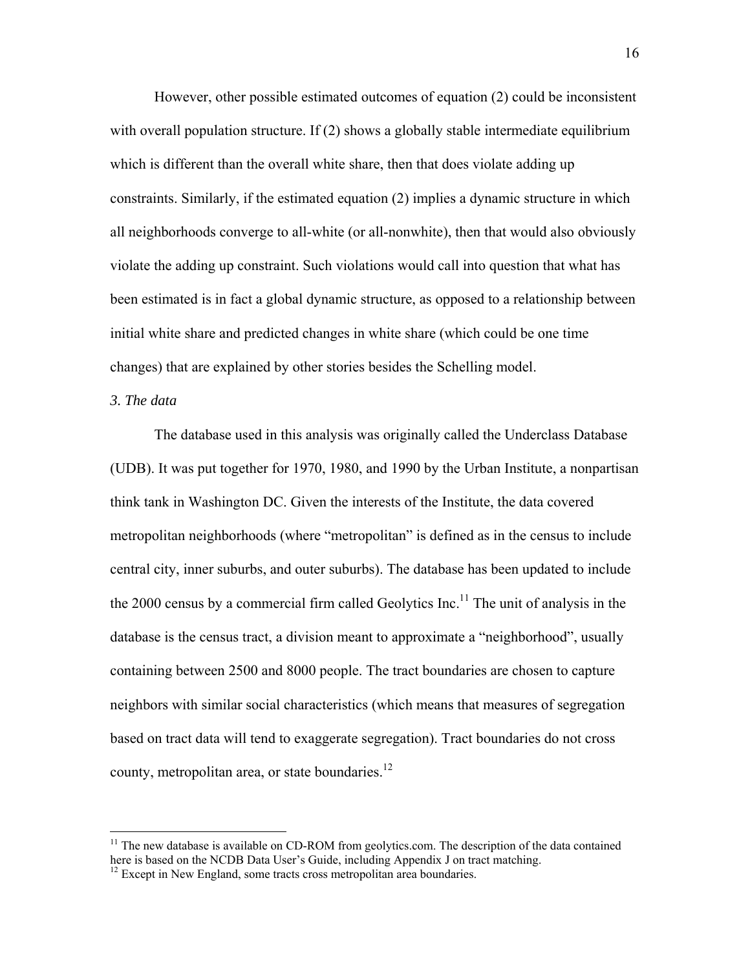However, other possible estimated outcomes of equation (2) could be inconsistent with overall population structure. If (2) shows a globally stable intermediate equilibrium which is different than the overall white share, then that does violate adding up constraints. Similarly, if the estimated equation (2) implies a dynamic structure in which all neighborhoods converge to all-white (or all-nonwhite), then that would also obviously violate the adding up constraint. Such violations would call into question that what has been estimated is in fact a global dynamic structure, as opposed to a relationship between initial white share and predicted changes in white share (which could be one time changes) that are explained by other stories besides the Schelling model.

# *3. The data*

 $\overline{a}$ 

The database used in this analysis was originally called the Underclass Database (UDB). It was put together for 1970, 1980, and 1990 by the Urban Institute, a nonpartisan think tank in Washington DC. Given the interests of the Institute, the data covered metropolitan neighborhoods (where "metropolitan" is defined as in the census to include central city, inner suburbs, and outer suburbs). The database has been updated to include the 2000 census by a commercial firm called Geolytics  $Inc$ .<sup>11</sup> The unit of analysis in the database is the census tract, a division meant to approximate a "neighborhood", usually containing between 2500 and 8000 people. The tract boundaries are chosen to capture neighbors with similar social characteristics (which means that measures of segregation based on tract data will tend to exaggerate segregation). Tract boundaries do not cross county, metropolitan area, or state boundaries.<sup>12</sup>

 $11$  The new database is available on CD-ROM from geolytics.com. The description of the data contained here is based on the NCDB Data User's Guide, including Appendix J on tract matching.

<sup>&</sup>lt;sup>12</sup> Except in New England, some tracts cross metropolitan area boundaries.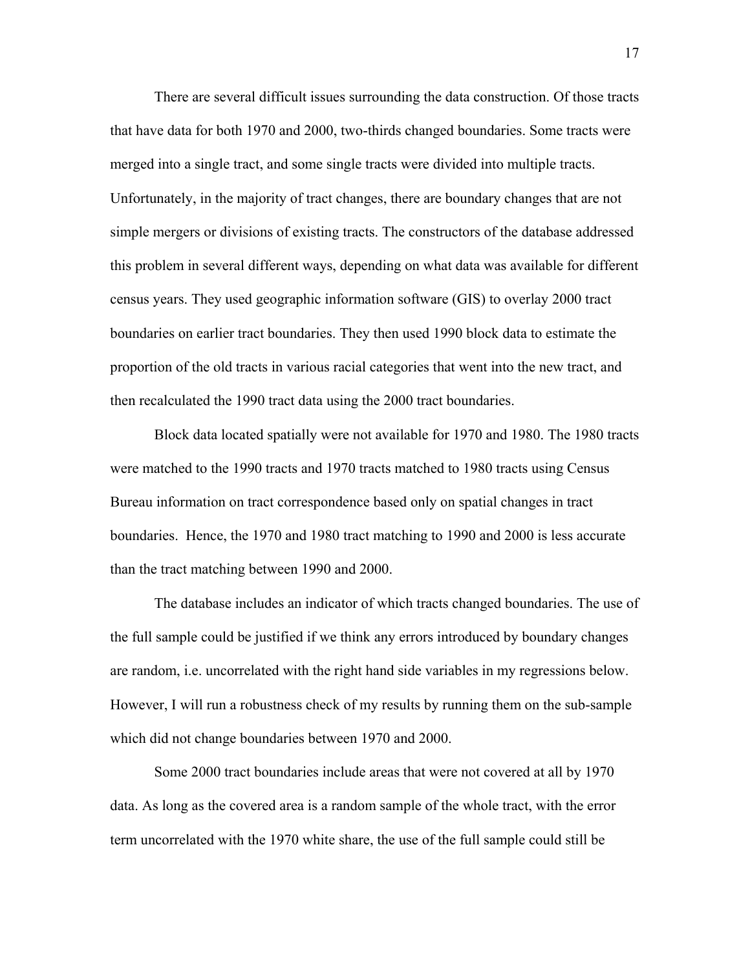There are several difficult issues surrounding the data construction. Of those tracts that have data for both 1970 and 2000, two-thirds changed boundaries. Some tracts were merged into a single tract, and some single tracts were divided into multiple tracts. Unfortunately, in the majority of tract changes, there are boundary changes that are not simple mergers or divisions of existing tracts. The constructors of the database addressed this problem in several different ways, depending on what data was available for different census years. They used geographic information software (GIS) to overlay 2000 tract boundaries on earlier tract boundaries. They then used 1990 block data to estimate the proportion of the old tracts in various racial categories that went into the new tract, and then recalculated the 1990 tract data using the 2000 tract boundaries.

Block data located spatially were not available for 1970 and 1980. The 1980 tracts were matched to the 1990 tracts and 1970 tracts matched to 1980 tracts using Census Bureau information on tract correspondence based only on spatial changes in tract boundaries. Hence, the 1970 and 1980 tract matching to 1990 and 2000 is less accurate than the tract matching between 1990 and 2000.

The database includes an indicator of which tracts changed boundaries. The use of the full sample could be justified if we think any errors introduced by boundary changes are random, i.e. uncorrelated with the right hand side variables in my regressions below. However, I will run a robustness check of my results by running them on the sub-sample which did not change boundaries between 1970 and 2000.

 Some 2000 tract boundaries include areas that were not covered at all by 1970 data. As long as the covered area is a random sample of the whole tract, with the error term uncorrelated with the 1970 white share, the use of the full sample could still be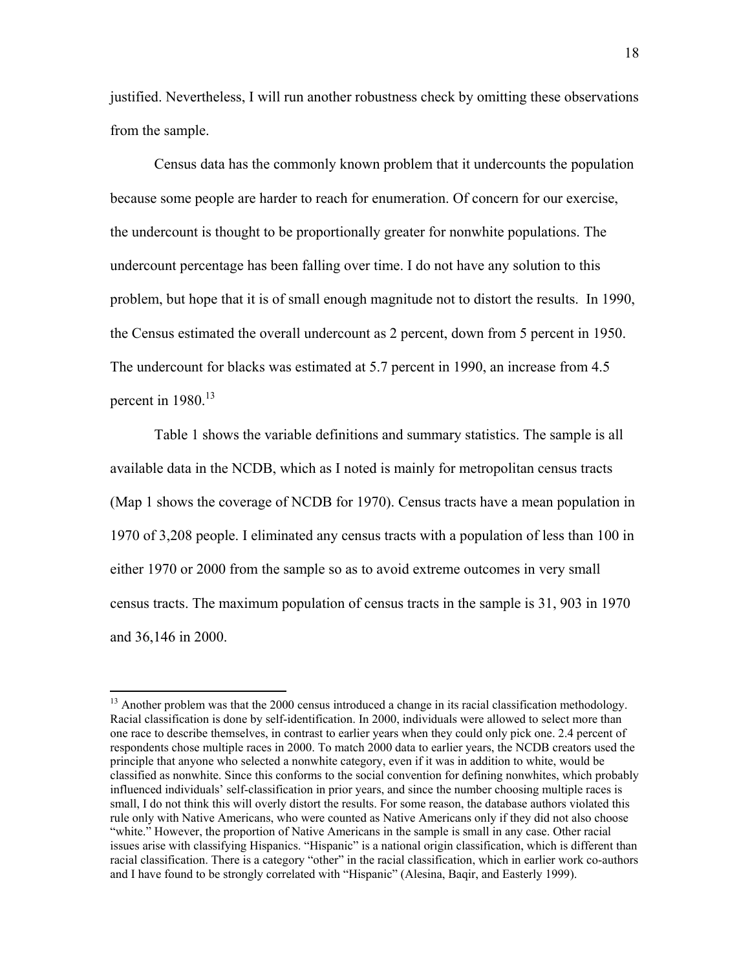justified. Nevertheless, I will run another robustness check by omitting these observations from the sample.

 Census data has the commonly known problem that it undercounts the population because some people are harder to reach for enumeration. Of concern for our exercise, the undercount is thought to be proportionally greater for nonwhite populations. The undercount percentage has been falling over time. I do not have any solution to this problem, but hope that it is of small enough magnitude not to distort the results. In 1990, the Census estimated the overall undercount as 2 percent, down from 5 percent in 1950. The undercount for blacks was estimated at 5.7 percent in 1990, an increase from 4.5 percent in  $1980$ <sup>13</sup>

Table 1 shows the variable definitions and summary statistics. The sample is all available data in the NCDB, which as I noted is mainly for metropolitan census tracts (Map 1 shows the coverage of NCDB for 1970). Census tracts have a mean population in 1970 of 3,208 people. I eliminated any census tracts with a population of less than 100 in either 1970 or 2000 from the sample so as to avoid extreme outcomes in very small census tracts. The maximum population of census tracts in the sample is 31, 903 in 1970 and 36,146 in 2000.

 $\overline{a}$ 

<sup>&</sup>lt;sup>13</sup> Another problem was that the 2000 census introduced a change in its racial classification methodology. Racial classification is done by self-identification. In 2000, individuals were allowed to select more than one race to describe themselves, in contrast to earlier years when they could only pick one. 2.4 percent of respondents chose multiple races in 2000. To match 2000 data to earlier years, the NCDB creators used the principle that anyone who selected a nonwhite category, even if it was in addition to white, would be classified as nonwhite. Since this conforms to the social convention for defining nonwhites, which probably influenced individuals' self-classification in prior years, and since the number choosing multiple races is small, I do not think this will overly distort the results. For some reason, the database authors violated this rule only with Native Americans, who were counted as Native Americans only if they did not also choose "white." However, the proportion of Native Americans in the sample is small in any case. Other racial issues arise with classifying Hispanics. "Hispanic" is a national origin classification, which is different than racial classification. There is a category "other" in the racial classification, which in earlier work co-authors and I have found to be strongly correlated with "Hispanic" (Alesina, Baqir, and Easterly 1999).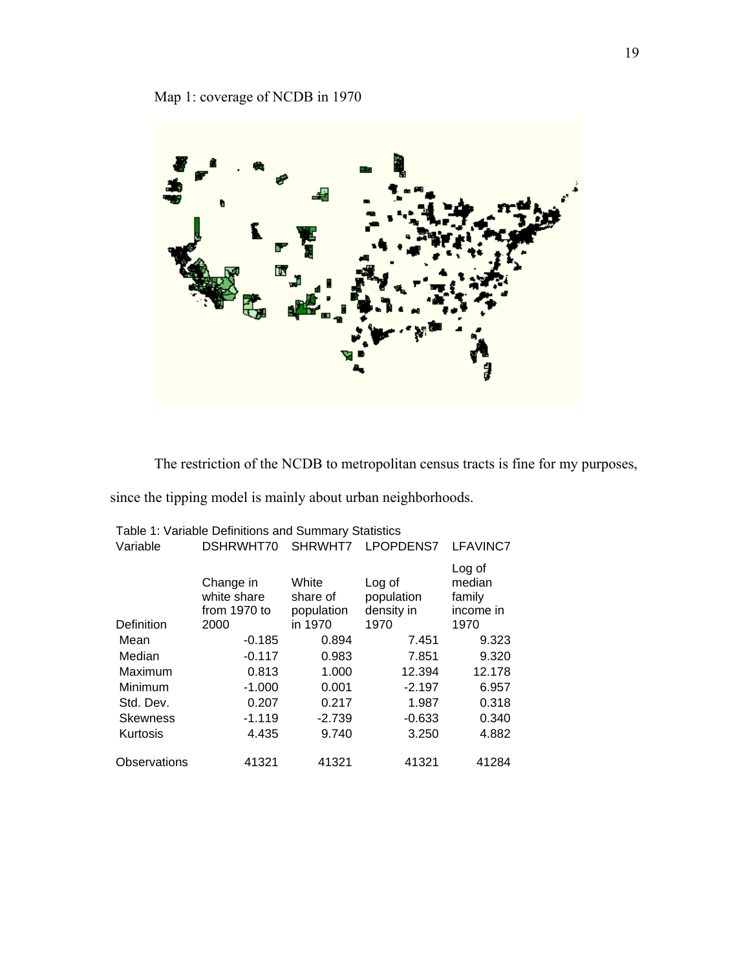

The restriction of the NCDB to metropolitan census tracts is fine for my purposes,

since the tipping model is mainly about urban neighborhoods.

|                 | Table 1: Variable Definitions and Summary Statistics |                                 |                                    |                                         |  |
|-----------------|------------------------------------------------------|---------------------------------|------------------------------------|-----------------------------------------|--|
| Variable        | DSHRWHT70                                            | SHRWHT7                         | <b>LPOPDENS7</b>                   | LFAVINC7                                |  |
|                 | Change in<br>white share<br>from 1970 to             | White<br>share of<br>population | Log of<br>population<br>density in | Log of<br>median<br>family<br>income in |  |
| Definition      | 2000                                                 | in 1970                         | 1970                               | 1970                                    |  |
| Mean            | $-0.185$                                             | 0.894                           | 7.451                              | 9.323                                   |  |
| Median          | $-0.117$                                             | 0.983                           | 7.851                              | 9.320                                   |  |
| Maximum         | 0.813                                                | 1.000                           | 12.394                             | 12.178                                  |  |
| Minimum         | $-1.000$                                             | 0.001                           | $-2.197$                           | 6.957                                   |  |
| Std. Dev.       | 0.207                                                | 0.217                           | 1.987                              | 0.318                                   |  |
| <b>Skewness</b> | $-1.119$                                             | $-2.739$                        | $-0.633$                           | 0.340                                   |  |
| Kurtosis        | 4.435                                                | 9.740                           | 3.250                              | 4.882                                   |  |
| Observations    | 41321                                                | 41321                           | 41321                              | 41284                                   |  |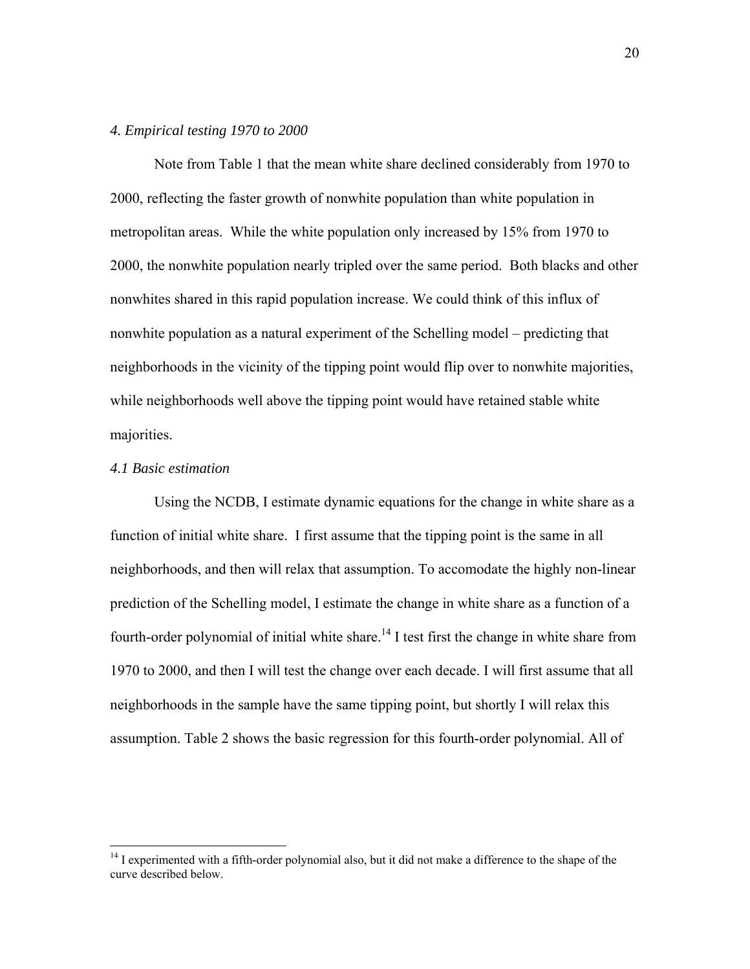#### *4. Empirical testing 1970 to 2000*

 Note from Table 1 that the mean white share declined considerably from 1970 to 2000, reflecting the faster growth of nonwhite population than white population in metropolitan areas. While the white population only increased by 15% from 1970 to 2000, the nonwhite population nearly tripled over the same period. Both blacks and other nonwhites shared in this rapid population increase. We could think of this influx of nonwhite population as a natural experiment of the Schelling model – predicting that neighborhoods in the vicinity of the tipping point would flip over to nonwhite majorities, while neighborhoods well above the tipping point would have retained stable white majorities.

#### *4.1 Basic estimation*

1

Using the NCDB, I estimate dynamic equations for the change in white share as a function of initial white share. I first assume that the tipping point is the same in all neighborhoods, and then will relax that assumption. To accomodate the highly non-linear prediction of the Schelling model, I estimate the change in white share as a function of a fourth-order polynomial of initial white share.<sup>14</sup> I test first the change in white share from 1970 to 2000, and then I will test the change over each decade. I will first assume that all neighborhoods in the sample have the same tipping point, but shortly I will relax this assumption. Table 2 shows the basic regression for this fourth-order polynomial. All of

<sup>&</sup>lt;sup>14</sup> I experimented with a fifth-order polynomial also, but it did not make a difference to the shape of the curve described below.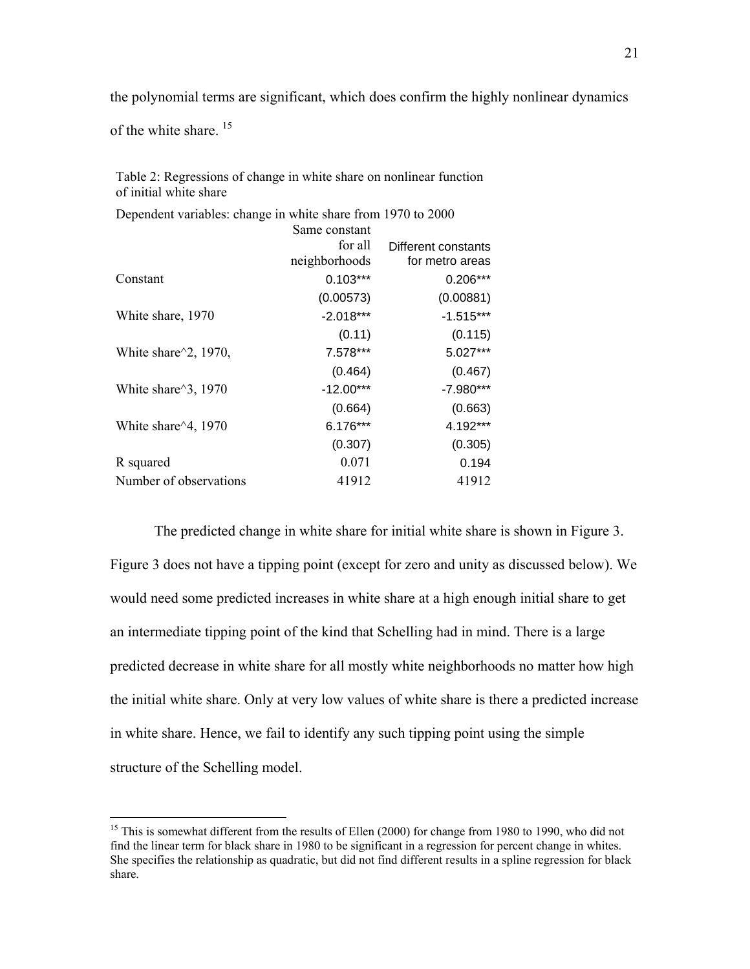the polynomial terms are significant, which does confirm the highly nonlinear dynamics

of the white share.<sup>15</sup>

 $\overline{a}$ 

Table 2: Regressions of change in white share on nonlinear function of initial white share

Dependent variables: change in white share from 1970 to 2000 Same constant for all neighborhoods Different constants for metro areas Constant 0.103\*\*\* 0.206\*\*\* (0.00573) (0.00881) White share, 1970 -2.018\*\*\* -1.515\*\*\*  $(0.11)$   $(0.115)$ White share^2, 1970, 7.578\*\*\* 5.027\*\*\* (0.464) (0.467) White share^3, 1970 -12.00\*\*\* -7.980\*\*\* (0.664) (0.663) White share<sup> $\triangle 4$ </sup>, 1970 6.176\*\*\* 4.192\*\*\* (0.307) (0.305) R squared 0.071 0.194 Number of observations 41912 41912

The predicted change in white share for initial white share is shown in Figure 3. Figure 3 does not have a tipping point (except for zero and unity as discussed below). We would need some predicted increases in white share at a high enough initial share to get an intermediate tipping point of the kind that Schelling had in mind. There is a large predicted decrease in white share for all mostly white neighborhoods no matter how high the initial white share. Only at very low values of white share is there a predicted increase in white share. Hence, we fail to identify any such tipping point using the simple structure of the Schelling model.

<sup>&</sup>lt;sup>15</sup> This is somewhat different from the results of Ellen (2000) for change from 1980 to 1990, who did not find the linear term for black share in 1980 to be significant in a regression for percent change in whites. She specifies the relationship as quadratic, but did not find different results in a spline regression for black share.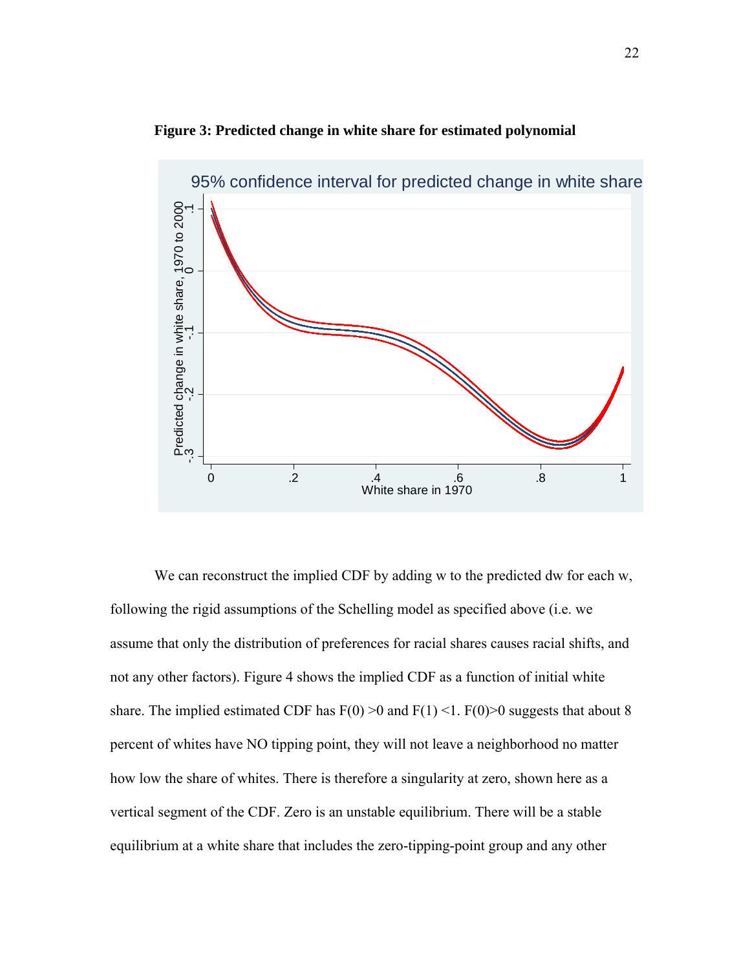



We can reconstruct the implied CDF by adding w to the predicted dw for each w, following the rigid assumptions of the Schelling model as specified above (i.e. we assume that only the distribution of preferences for racial shares causes racial shifts, and not any other factors). Figure 4 shows the implied CDF as a function of initial white share. The implied estimated CDF has  $F(0) > 0$  and  $F(1) < 1$ .  $F(0) > 0$  suggests that about 8 percent of whites have NO tipping point, they will not leave a neighborhood no matter how low the share of whites. There is therefore a singularity at zero, shown here as a vertical segment of the CDF. Zero is an unstable equilibrium. There will be a stable equilibrium at a white share that includes the zero-tipping-point group and any other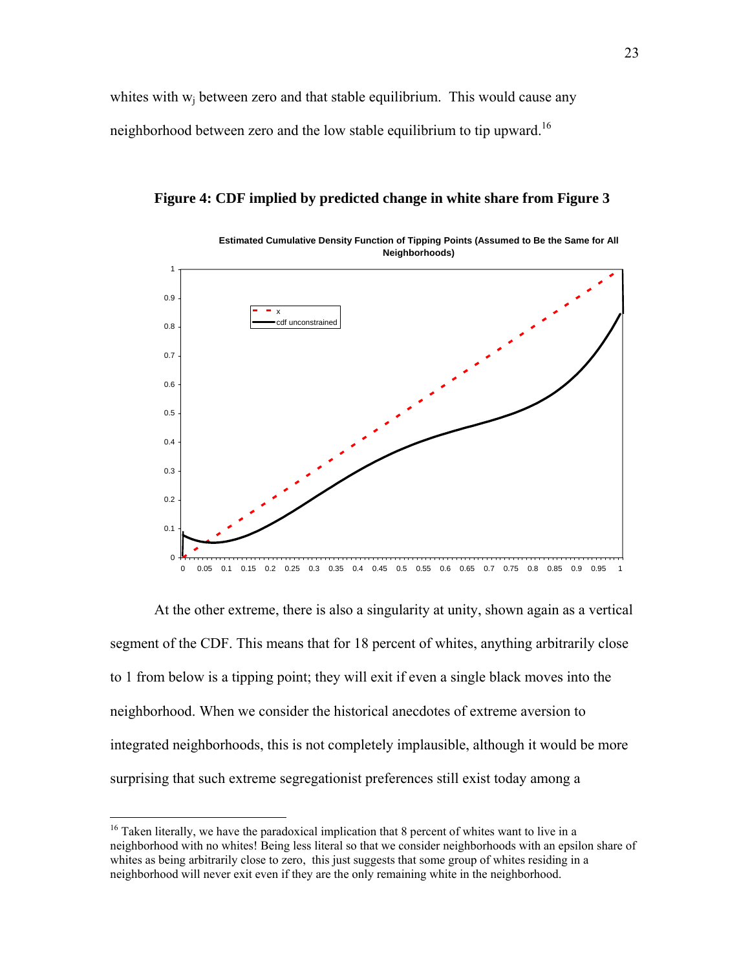whites with  $w_i$  between zero and that stable equilibrium. This would cause any neighborhood between zero and the low stable equilibrium to tip upward.<sup>16</sup>

**Neighborhoods)**  $\Omega$ 0.1 0.2 0.3 0.4 0.5 0.6 0.7 0.8 0.9 1 0 0.05 0.1 0.15 0.2 0.25 0.3 0.35 0.4 0.45 0.5 0.55 0.6 0.65 0.7 0.75 0.8 0.85 0.9 0.95 1 x cdf unconstrained

**Figure 4: CDF implied by predicted change in white share from Figure 3** 

**Estimated Cumulative Density Function of Tipping Points (Assumed to Be the Same for All** 

At the other extreme, there is also a singularity at unity, shown again as a vertical segment of the CDF. This means that for 18 percent of whites, anything arbitrarily close to 1 from below is a tipping point; they will exit if even a single black moves into the neighborhood. When we consider the historical anecdotes of extreme aversion to integrated neighborhoods, this is not completely implausible, although it would be more surprising that such extreme segregationist preferences still exist today among a

<u>.</u>

 $16$  Taken literally, we have the paradoxical implication that 8 percent of whites want to live in a neighborhood with no whites! Being less literal so that we consider neighborhoods with an epsilon share of whites as being arbitrarily close to zero, this just suggests that some group of whites residing in a neighborhood will never exit even if they are the only remaining white in the neighborhood.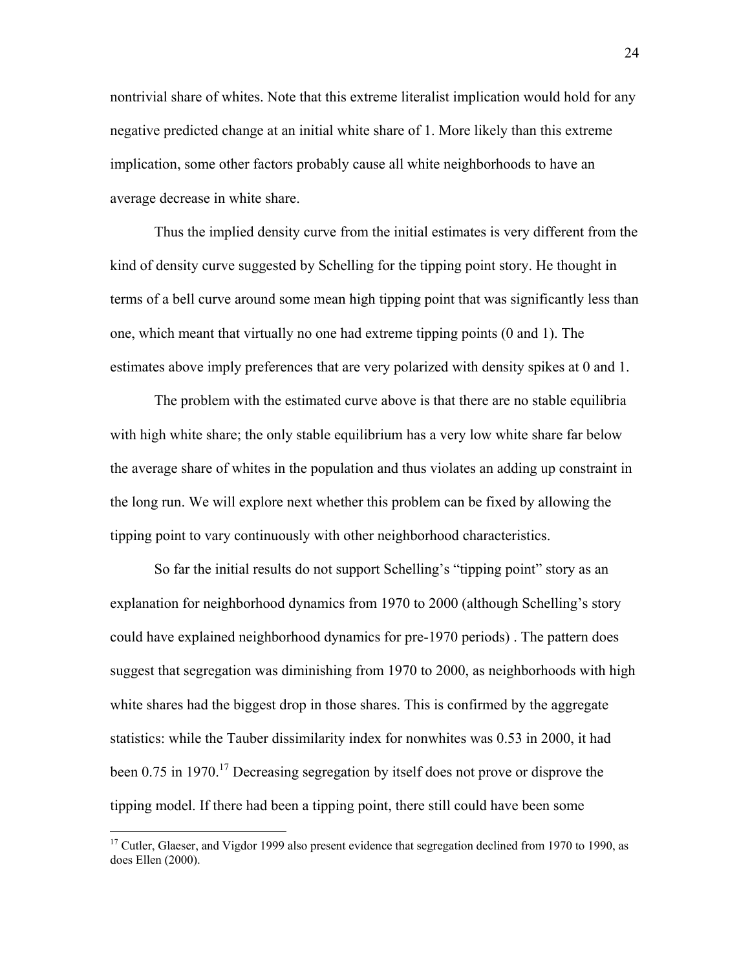nontrivial share of whites. Note that this extreme literalist implication would hold for any negative predicted change at an initial white share of 1. More likely than this extreme implication, some other factors probably cause all white neighborhoods to have an average decrease in white share.

Thus the implied density curve from the initial estimates is very different from the kind of density curve suggested by Schelling for the tipping point story. He thought in terms of a bell curve around some mean high tipping point that was significantly less than one, which meant that virtually no one had extreme tipping points (0 and 1). The estimates above imply preferences that are very polarized with density spikes at 0 and 1.

The problem with the estimated curve above is that there are no stable equilibria with high white share; the only stable equilibrium has a very low white share far below the average share of whites in the population and thus violates an adding up constraint in the long run. We will explore next whether this problem can be fixed by allowing the tipping point to vary continuously with other neighborhood characteristics.

So far the initial results do not support Schelling's "tipping point" story as an explanation for neighborhood dynamics from 1970 to 2000 (although Schelling's story could have explained neighborhood dynamics for pre-1970 periods) . The pattern does suggest that segregation was diminishing from 1970 to 2000, as neighborhoods with high white shares had the biggest drop in those shares. This is confirmed by the aggregate statistics: while the Tauber dissimilarity index for nonwhites was 0.53 in 2000, it had been 0.75 in 1970.<sup>17</sup> Decreasing segregation by itself does not prove or disprove the tipping model. If there had been a tipping point, there still could have been some

 $\overline{a}$ 

<sup>&</sup>lt;sup>17</sup> Cutler, Glaeser, and Vigdor 1999 also present evidence that segregation declined from 1970 to 1990, as does Ellen (2000).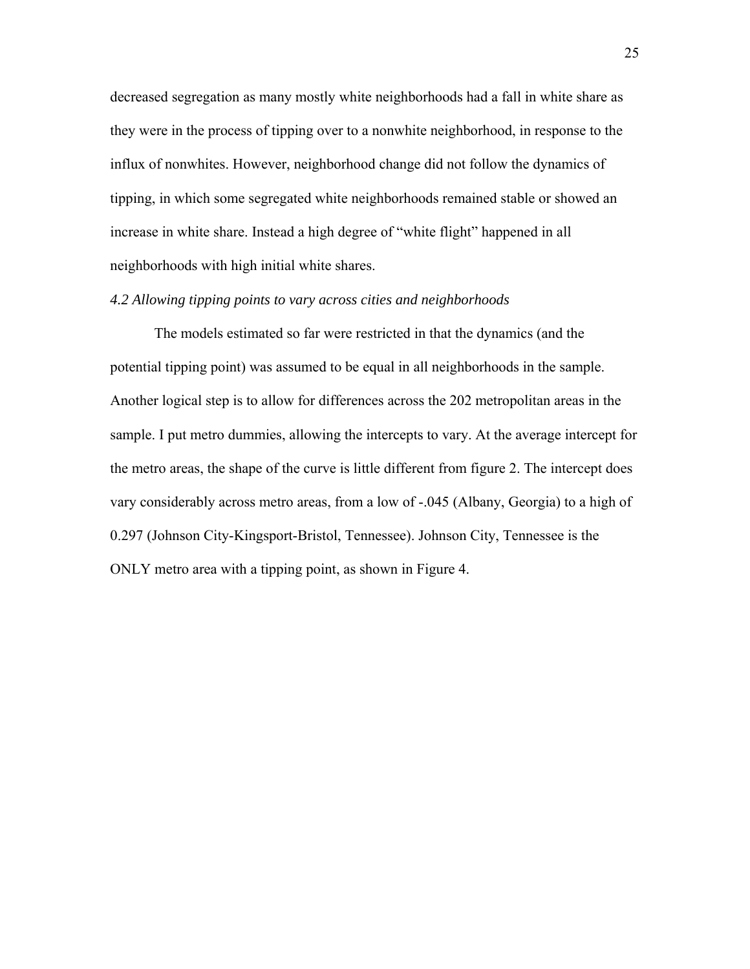decreased segregation as many mostly white neighborhoods had a fall in white share as they were in the process of tipping over to a nonwhite neighborhood, in response to the influx of nonwhites. However, neighborhood change did not follow the dynamics of tipping, in which some segregated white neighborhoods remained stable or showed an increase in white share. Instead a high degree of "white flight" happened in all neighborhoods with high initial white shares.

#### *4.2 Allowing tipping points to vary across cities and neighborhoods*

The models estimated so far were restricted in that the dynamics (and the potential tipping point) was assumed to be equal in all neighborhoods in the sample. Another logical step is to allow for differences across the 202 metropolitan areas in the sample. I put metro dummies, allowing the intercepts to vary. At the average intercept for the metro areas, the shape of the curve is little different from figure 2. The intercept does vary considerably across metro areas, from a low of -.045 (Albany, Georgia) to a high of 0.297 (Johnson City-Kingsport-Bristol, Tennessee). Johnson City, Tennessee is the ONLY metro area with a tipping point, as shown in Figure 4.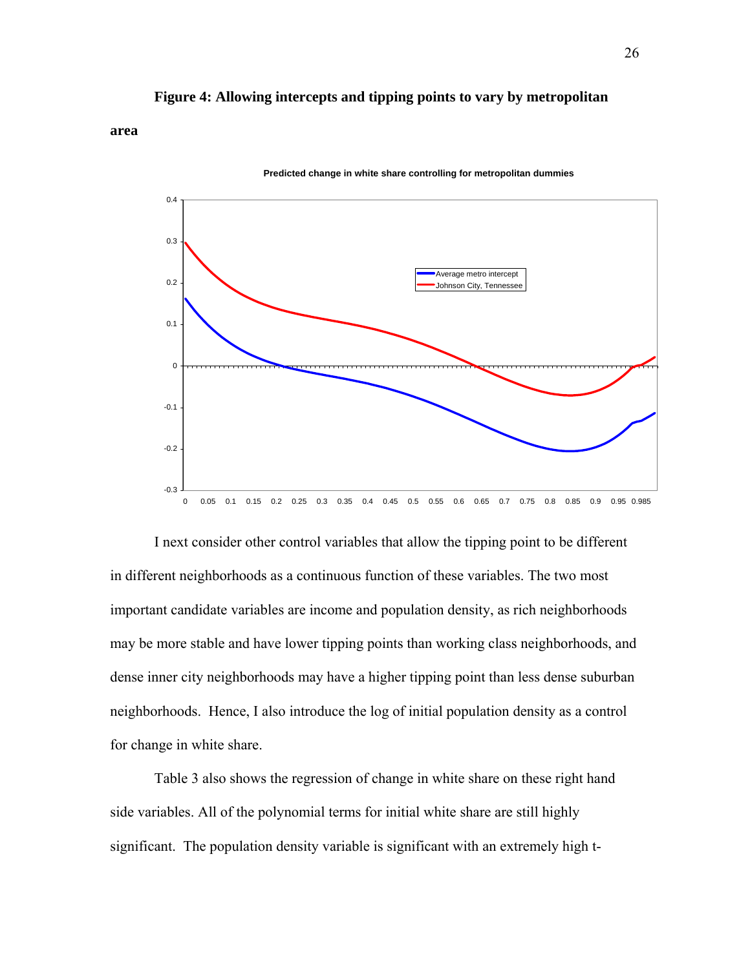## **Figure 4: Allowing intercepts and tipping points to vary by metropolitan**

**area** 

#### **Predicted change in white share controlling for metropolitan dummies**



I next consider other control variables that allow the tipping point to be different in different neighborhoods as a continuous function of these variables. The two most important candidate variables are income and population density, as rich neighborhoods may be more stable and have lower tipping points than working class neighborhoods, and dense inner city neighborhoods may have a higher tipping point than less dense suburban neighborhoods. Hence, I also introduce the log of initial population density as a control for change in white share.

 Table 3 also shows the regression of change in white share on these right hand side variables. All of the polynomial terms for initial white share are still highly significant. The population density variable is significant with an extremely high t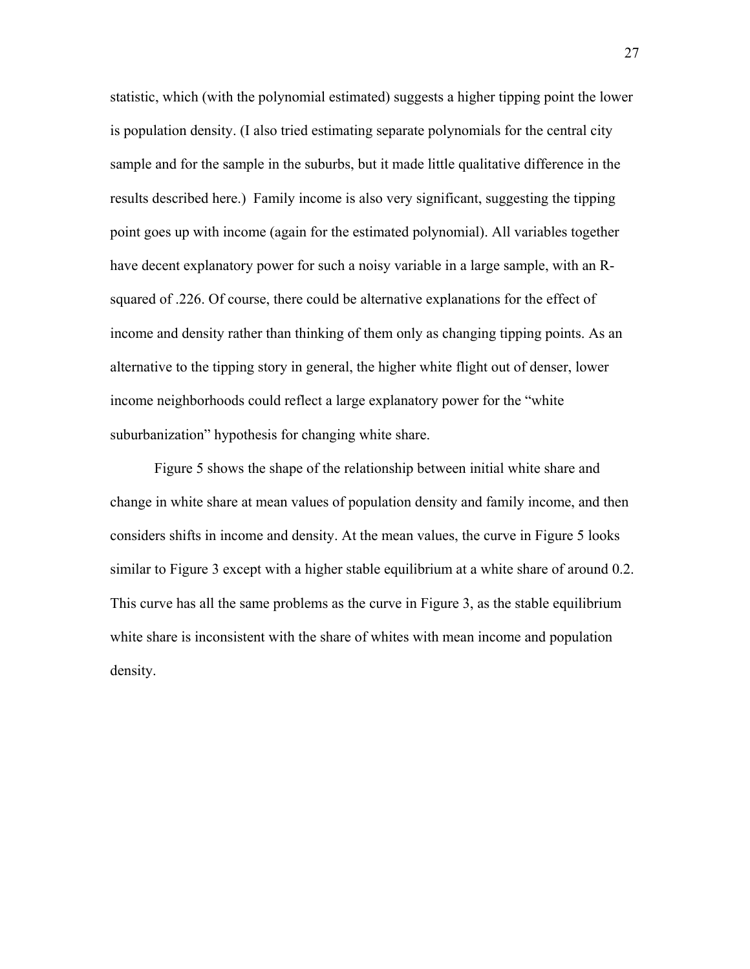statistic, which (with the polynomial estimated) suggests a higher tipping point the lower is population density. (I also tried estimating separate polynomials for the central city sample and for the sample in the suburbs, but it made little qualitative difference in the results described here.) Family income is also very significant, suggesting the tipping point goes up with income (again for the estimated polynomial). All variables together have decent explanatory power for such a noisy variable in a large sample, with an Rsquared of .226. Of course, there could be alternative explanations for the effect of income and density rather than thinking of them only as changing tipping points. As an alternative to the tipping story in general, the higher white flight out of denser, lower income neighborhoods could reflect a large explanatory power for the "white suburbanization" hypothesis for changing white share.

Figure 5 shows the shape of the relationship between initial white share and change in white share at mean values of population density and family income, and then considers shifts in income and density. At the mean values, the curve in Figure 5 looks similar to Figure 3 except with a higher stable equilibrium at a white share of around 0.2. This curve has all the same problems as the curve in Figure 3, as the stable equilibrium white share is inconsistent with the share of whites with mean income and population density.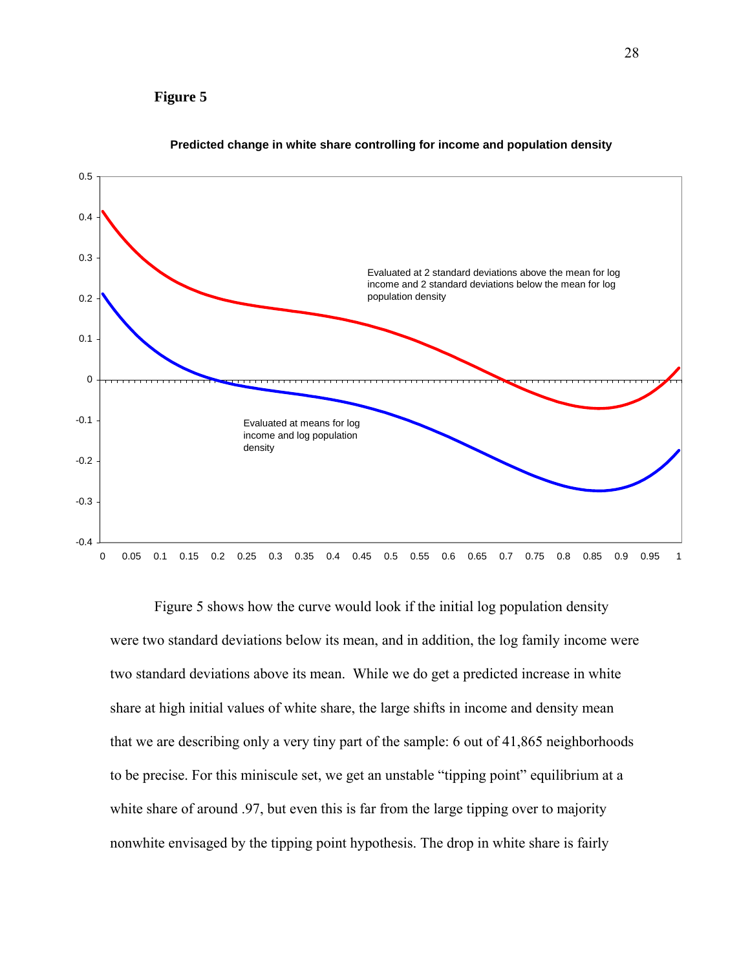# **Figure 5**



#### **Predicted change in white share controlling for income and population density**

Figure 5 shows how the curve would look if the initial log population density were two standard deviations below its mean, and in addition, the log family income were two standard deviations above its mean. While we do get a predicted increase in white share at high initial values of white share, the large shifts in income and density mean that we are describing only a very tiny part of the sample: 6 out of 41,865 neighborhoods to be precise. For this miniscule set, we get an unstable "tipping point" equilibrium at a white share of around .97, but even this is far from the large tipping over to majority nonwhite envisaged by the tipping point hypothesis. The drop in white share is fairly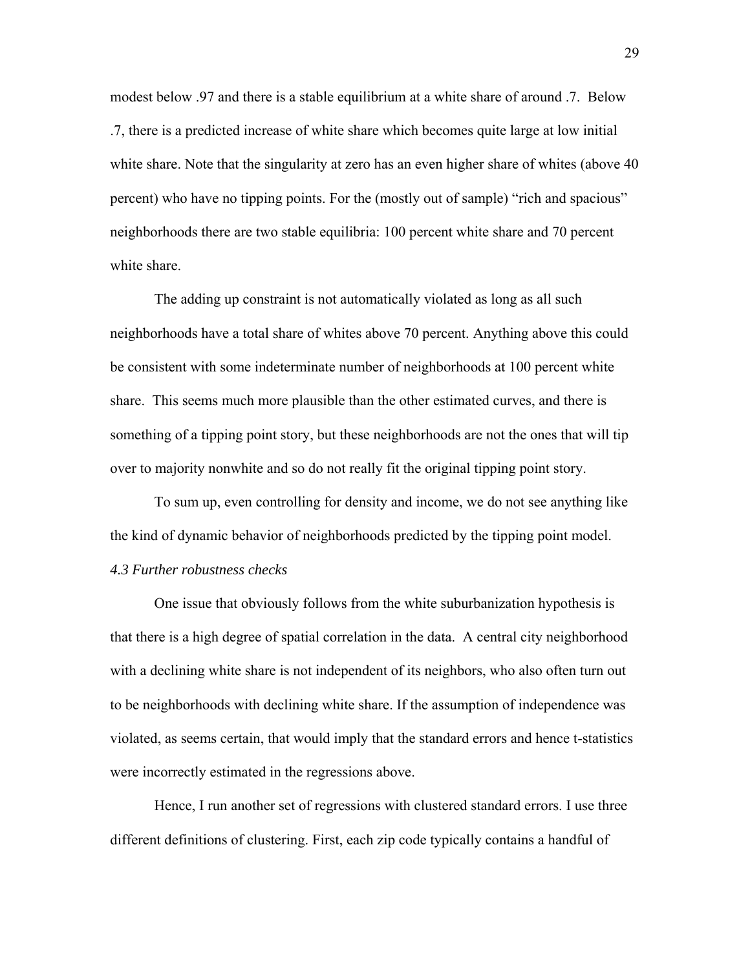modest below .97 and there is a stable equilibrium at a white share of around .7. Below .7, there is a predicted increase of white share which becomes quite large at low initial white share. Note that the singularity at zero has an even higher share of whites (above 40 percent) who have no tipping points. For the (mostly out of sample) "rich and spacious" neighborhoods there are two stable equilibria: 100 percent white share and 70 percent white share.

The adding up constraint is not automatically violated as long as all such neighborhoods have a total share of whites above 70 percent. Anything above this could be consistent with some indeterminate number of neighborhoods at 100 percent white share. This seems much more plausible than the other estimated curves, and there is something of a tipping point story, but these neighborhoods are not the ones that will tip over to majority nonwhite and so do not really fit the original tipping point story.

 To sum up, even controlling for density and income, we do not see anything like the kind of dynamic behavior of neighborhoods predicted by the tipping point model. *4.3 Further robustness checks* 

 One issue that obviously follows from the white suburbanization hypothesis is that there is a high degree of spatial correlation in the data. A central city neighborhood with a declining white share is not independent of its neighbors, who also often turn out to be neighborhoods with declining white share. If the assumption of independence was violated, as seems certain, that would imply that the standard errors and hence t-statistics were incorrectly estimated in the regressions above.

 Hence, I run another set of regressions with clustered standard errors. I use three different definitions of clustering. First, each zip code typically contains a handful of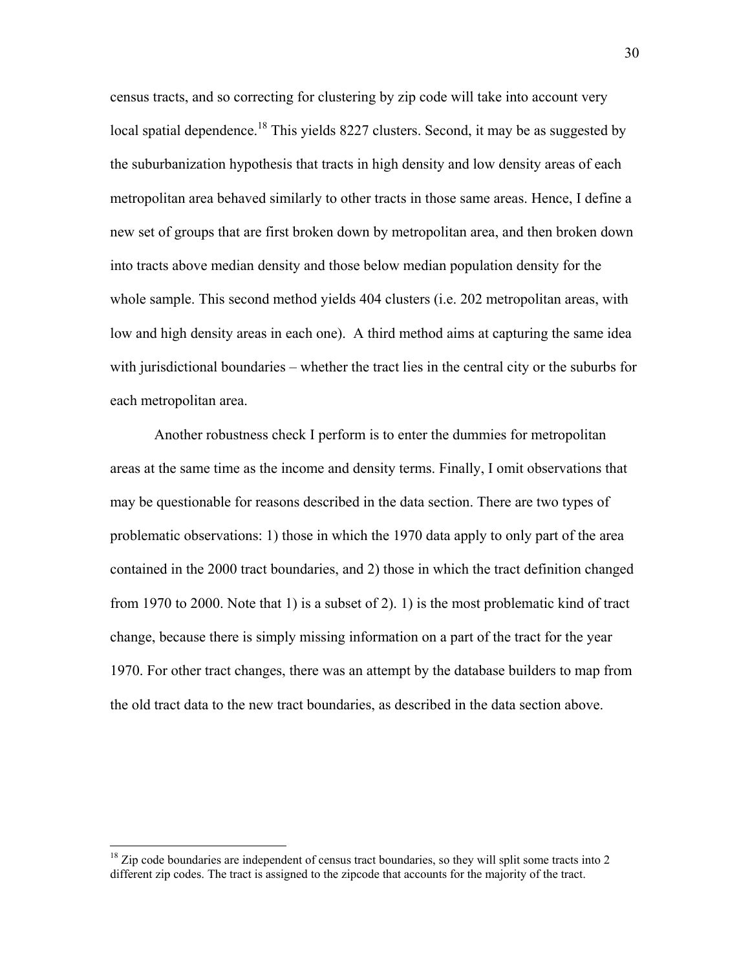census tracts, and so correcting for clustering by zip code will take into account very local spatial dependence.<sup>18</sup> This yields 8227 clusters. Second, it may be as suggested by the suburbanization hypothesis that tracts in high density and low density areas of each metropolitan area behaved similarly to other tracts in those same areas. Hence, I define a new set of groups that are first broken down by metropolitan area, and then broken down into tracts above median density and those below median population density for the whole sample. This second method yields 404 clusters (i.e. 202 metropolitan areas, with low and high density areas in each one). A third method aims at capturing the same idea with jurisdictional boundaries – whether the tract lies in the central city or the suburbs for each metropolitan area.

 Another robustness check I perform is to enter the dummies for metropolitan areas at the same time as the income and density terms. Finally, I omit observations that may be questionable for reasons described in the data section. There are two types of problematic observations: 1) those in which the 1970 data apply to only part of the area contained in the 2000 tract boundaries, and 2) those in which the tract definition changed from 1970 to 2000. Note that 1) is a subset of 2). 1) is the most problematic kind of tract change, because there is simply missing information on a part of the tract for the year 1970. For other tract changes, there was an attempt by the database builders to map from the old tract data to the new tract boundaries, as described in the data section above.

 $\overline{a}$ 

 $18$  Zip code boundaries are independent of census tract boundaries, so they will split some tracts into 2 different zip codes. The tract is assigned to the zipcode that accounts for the majority of the tract.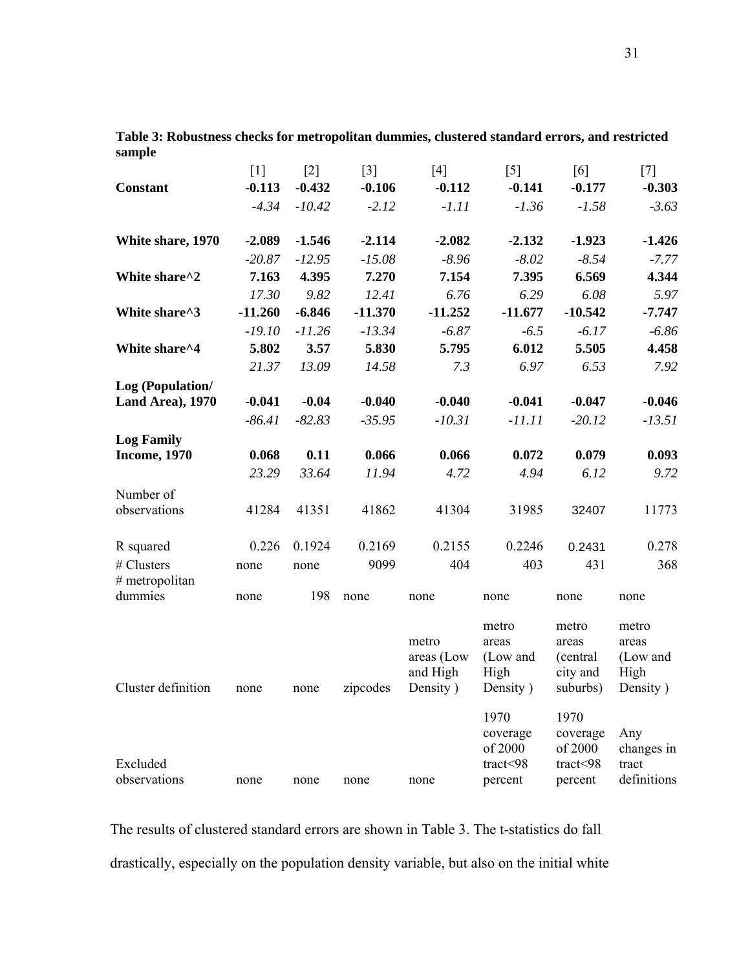|                          | $[1]$     | $[2]$    | $\lceil 3 \rceil$ | [4]                             | $\lceil 5 \rceil$                  | [6]                                    | $[7]$                              |
|--------------------------|-----------|----------|-------------------|---------------------------------|------------------------------------|----------------------------------------|------------------------------------|
| Constant                 | $-0.113$  | $-0.432$ | $-0.106$          | $-0.112$                        | $-0.141$                           | $-0.177$                               | $-0.303$                           |
|                          | $-4.34$   | $-10.42$ | $-2.12$           | $-1.11$                         | $-1.36$                            | $-1.58$                                | $-3.63$                            |
| White share, 1970        | $-2.089$  | $-1.546$ | $-2.114$          | $-2.082$                        | $-2.132$                           | $-1.923$                               | $-1.426$                           |
|                          | $-20.87$  | $-12.95$ | $-15.08$          | $-8.96$                         | $-8.02$                            | $-8.54$                                | $-7.77$                            |
| White share^2            | 7.163     | 4.395    | 7.270             | 7.154                           | 7.395                              | 6.569                                  | 4.344                              |
|                          | 17.30     | 9.82     | 12.41             | 6.76                            | 6.29                               | 6.08                                   | 5.97                               |
| White share^3            | $-11.260$ | $-6.846$ | $-11.370$         | $-11.252$                       | $-11.677$                          | $-10.542$                              | $-7.747$                           |
|                          | $-19.10$  | $-11.26$ | $-13.34$          | $-6.87$                         | $-6.5$                             | $-6.17$                                | $-6.86$                            |
| White share^4            | 5.802     | 3.57     | 5.830             | 5.795                           | 6.012                              | 5.505                                  | 4.458                              |
|                          | 21.37     | 13.09    | 14.58             | 7.3                             | 6.97                               | 6.53                                   | 7.92                               |
| Log (Population/         |           |          |                   |                                 |                                    |                                        |                                    |
| Land Area), 1970         | $-0.041$  | $-0.04$  | $-0.040$          | $-0.040$                        | $-0.041$                           | $-0.047$                               | $-0.046$                           |
|                          | $-86.41$  | $-82.83$ | $-35.95$          | $-10.31$                        | $-11.11$                           | $-20.12$                               | $-13.51$                           |
| <b>Log Family</b>        |           |          |                   |                                 |                                    |                                        |                                    |
| <b>Income, 1970</b>      | 0.068     | 0.11     | 0.066             | 0.066                           | 0.072                              | 0.079                                  | 0.093                              |
|                          | 23.29     | 33.64    | 11.94             | 4.72                            | 4.94                               | 6.12                                   | 9.72                               |
| Number of                |           |          |                   |                                 |                                    |                                        |                                    |
| observations             | 41284     | 41351    | 41862             | 41304                           | 31985                              | 32407                                  | 11773                              |
|                          |           |          |                   |                                 |                                    |                                        |                                    |
| R squared                | 0.226     | 0.1924   | 0.2169            | 0.2155                          | 0.2246                             | 0.2431                                 | 0.278                              |
| # Clusters               | none      | none     | 9099              | 404                             | 403                                | 431                                    | 368                                |
| # metropolitan           |           |          |                   |                                 |                                    |                                        |                                    |
| dummies                  | none      | 198      | none              | none                            | none                               | none                                   | none                               |
|                          |           |          |                   | metro<br>areas (Low<br>and High | metro<br>areas<br>(Low and<br>High | metro<br>areas<br>(central<br>city and | metro<br>areas<br>(Low and<br>High |
| Cluster definition       | none      | none     | zipcodes          | Density)                        | Density)                           | suburbs)                               | Density)                           |
|                          |           |          |                   |                                 | 1970<br>coverage<br>of 2000        | 1970<br>coverage<br>of 2000            | Any<br>changes in                  |
| Excluded<br>observations | none      | none     | none              | none                            | tract<98<br>percent                | tract<98<br>percent                    | tract<br>definitions               |

**Table 3: Robustness checks for metropolitan dummies, clustered standard errors, and restricted sample** 

The results of clustered standard errors are shown in Table 3. The t-statistics do fall drastically, especially on the population density variable, but also on the initial white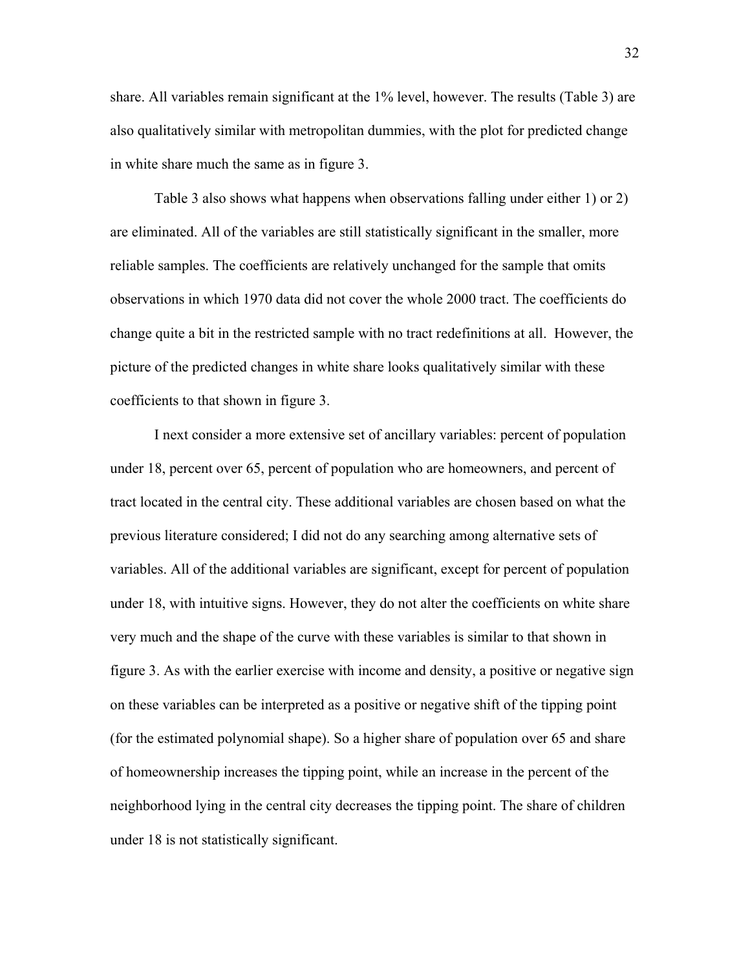share. All variables remain significant at the 1% level, however. The results (Table 3) are also qualitatively similar with metropolitan dummies, with the plot for predicted change in white share much the same as in figure 3.

Table 3 also shows what happens when observations falling under either 1) or 2) are eliminated. All of the variables are still statistically significant in the smaller, more reliable samples. The coefficients are relatively unchanged for the sample that omits observations in which 1970 data did not cover the whole 2000 tract. The coefficients do change quite a bit in the restricted sample with no tract redefinitions at all. However, the picture of the predicted changes in white share looks qualitatively similar with these coefficients to that shown in figure 3.

I next consider a more extensive set of ancillary variables: percent of population under 18, percent over 65, percent of population who are homeowners, and percent of tract located in the central city. These additional variables are chosen based on what the previous literature considered; I did not do any searching among alternative sets of variables. All of the additional variables are significant, except for percent of population under 18, with intuitive signs. However, they do not alter the coefficients on white share very much and the shape of the curve with these variables is similar to that shown in figure 3. As with the earlier exercise with income and density, a positive or negative sign on these variables can be interpreted as a positive or negative shift of the tipping point (for the estimated polynomial shape). So a higher share of population over 65 and share of homeownership increases the tipping point, while an increase in the percent of the neighborhood lying in the central city decreases the tipping point. The share of children under 18 is not statistically significant.

32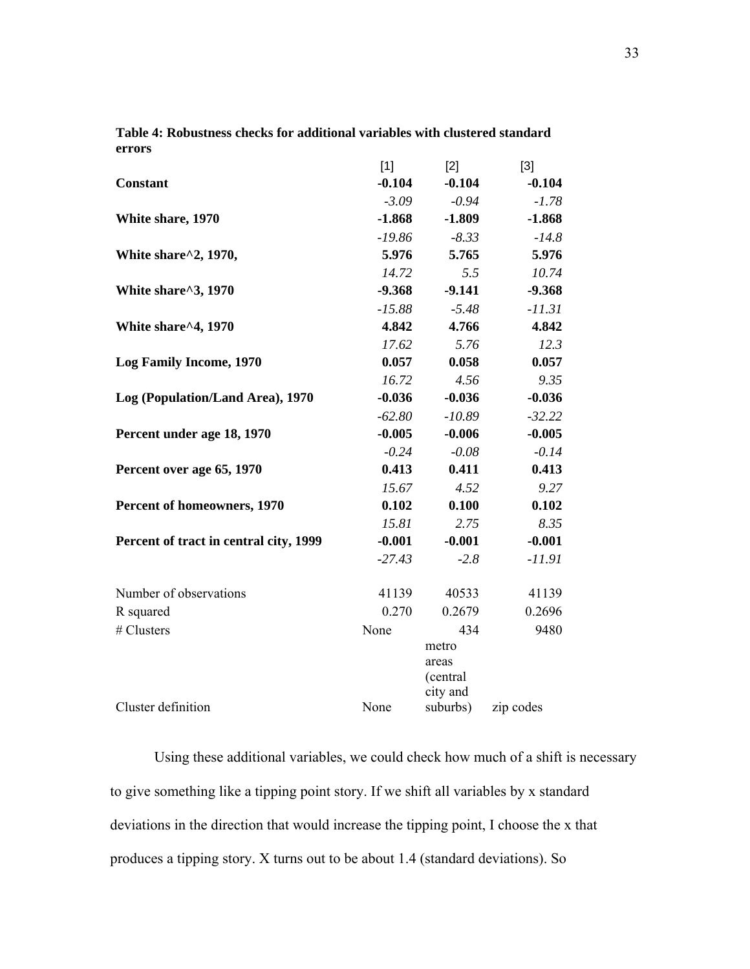|                                        | $[1]$    | $[2]$                                  | $[3]$     |
|----------------------------------------|----------|----------------------------------------|-----------|
| <b>Constant</b>                        | $-0.104$ | $-0.104$                               | $-0.104$  |
|                                        | $-3.09$  | $-0.94$                                | $-1.78$   |
| White share, 1970                      | $-1.868$ | $-1.809$                               | $-1.868$  |
|                                        | $-19.86$ | $-8.33$                                | $-14.8$   |
| White share^2, 1970,                   | 5.976    | 5.765                                  | 5.976     |
|                                        | 14.72    | 5.5                                    | 10.74     |
| White share^3, 1970                    | $-9.368$ | $-9.141$                               | $-9.368$  |
|                                        | $-15.88$ | $-5.48$                                | $-11.31$  |
| White share^4, 1970                    | 4.842    | 4.766                                  | 4.842     |
|                                        | 17.62    | 5.76                                   | 12.3      |
| <b>Log Family Income, 1970</b>         | 0.057    | 0.058                                  | 0.057     |
|                                        | 16.72    | 4.56                                   | 9.35      |
| Log (Population/Land Area), 1970       | $-0.036$ | $-0.036$                               | $-0.036$  |
|                                        | $-62.80$ | $-10.89$                               | $-32.22$  |
| Percent under age 18, 1970             | $-0.005$ | $-0.006$                               | $-0.005$  |
|                                        | $-0.24$  | $-0.08$                                | $-0.14$   |
| Percent over age 65, 1970              | 0.413    | 0.411                                  | 0.413     |
|                                        | 15.67    | 4.52                                   | 9.27      |
| Percent of homeowners, 1970            | 0.102    | 0.100                                  | 0.102     |
|                                        | 15.81    | 2.75                                   | 8.35      |
| Percent of tract in central city, 1999 | $-0.001$ | $-0.001$                               | $-0.001$  |
|                                        | $-27.43$ | $-2.8$                                 | $-11.91$  |
| Number of observations                 | 41139    | 40533                                  | 41139     |
| R squared                              | 0.270    | 0.2679                                 | 0.2696    |
| # Clusters                             | None     | 434                                    | 9480      |
|                                        |          | metro<br>areas<br>(central<br>city and |           |
| Cluster definition                     | None     | suburbs)                               | zip codes |

**Table 4: Robustness checks for additional variables with clustered standard errors** 

Using these additional variables, we could check how much of a shift is necessary to give something like a tipping point story. If we shift all variables by x standard deviations in the direction that would increase the tipping point, I choose the x that produces a tipping story. X turns out to be about 1.4 (standard deviations). So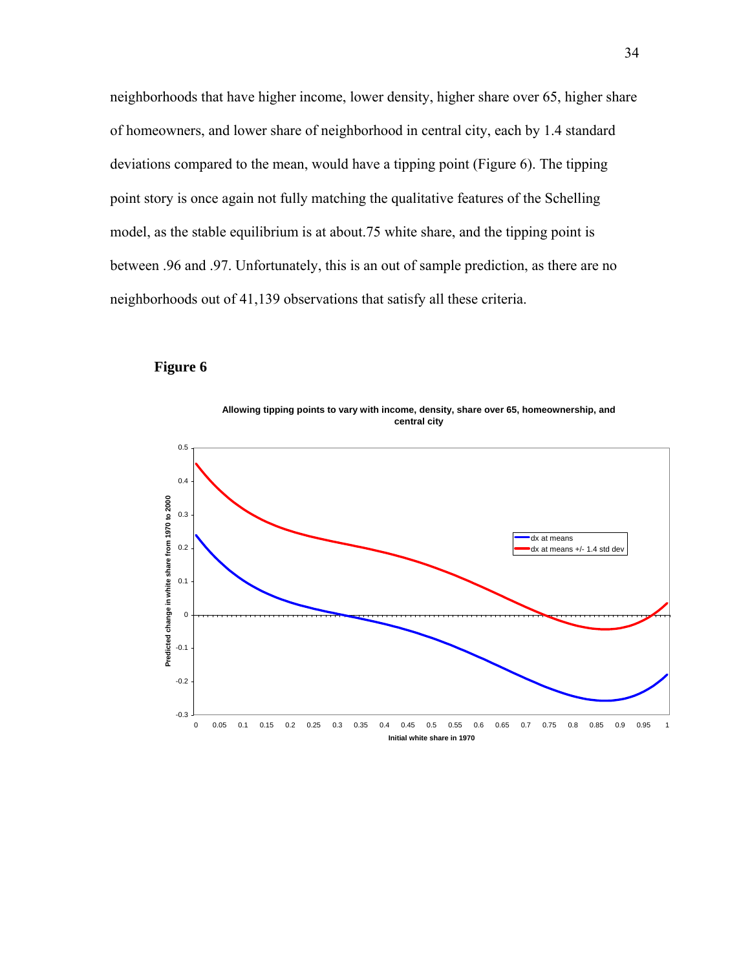neighborhoods that have higher income, lower density, higher share over 65, higher share of homeowners, and lower share of neighborhood in central city, each by 1.4 standard deviations compared to the mean, would have a tipping point (Figure 6). The tipping point story is once again not fully matching the qualitative features of the Schelling model, as the stable equilibrium is at about.75 white share, and the tipping point is between .96 and .97. Unfortunately, this is an out of sample prediction, as there are no neighborhoods out of 41,139 observations that satisfy all these criteria.

## **Figure 6**

**Allowing tipping points to vary with income, density, share over 65, homeownership, and central city** 

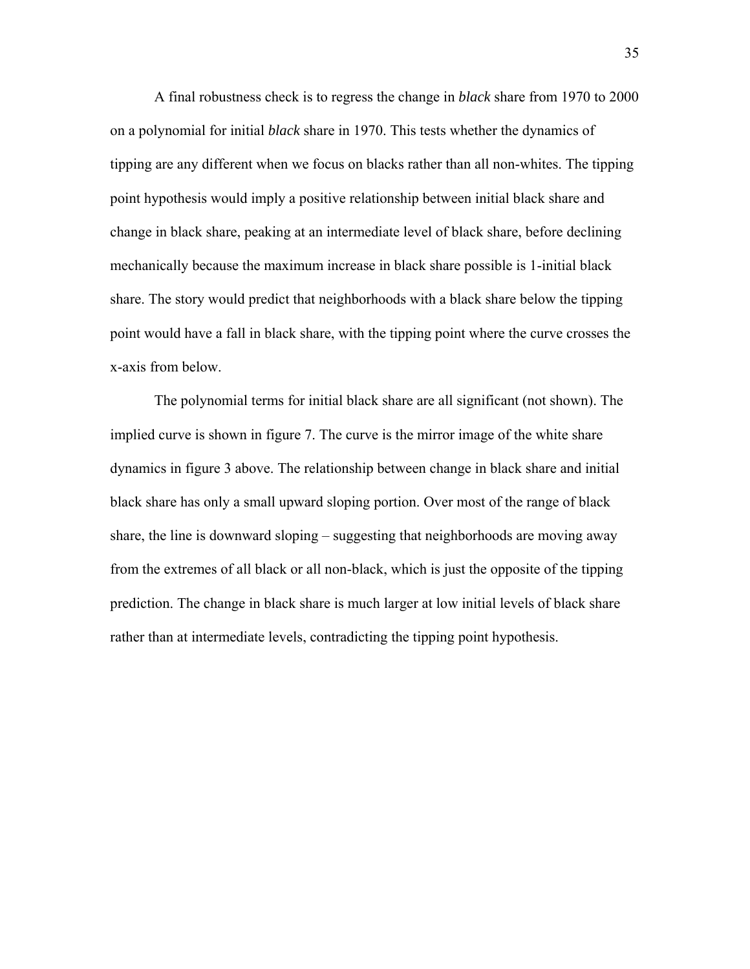A final robustness check is to regress the change in *black* share from 1970 to 2000 on a polynomial for initial *black* share in 1970. This tests whether the dynamics of tipping are any different when we focus on blacks rather than all non-whites. The tipping point hypothesis would imply a positive relationship between initial black share and change in black share, peaking at an intermediate level of black share, before declining mechanically because the maximum increase in black share possible is 1-initial black share. The story would predict that neighborhoods with a black share below the tipping point would have a fall in black share, with the tipping point where the curve crosses the x-axis from below.

The polynomial terms for initial black share are all significant (not shown). The implied curve is shown in figure 7. The curve is the mirror image of the white share dynamics in figure 3 above. The relationship between change in black share and initial black share has only a small upward sloping portion. Over most of the range of black share, the line is downward sloping – suggesting that neighborhoods are moving away from the extremes of all black or all non-black, which is just the opposite of the tipping prediction. The change in black share is much larger at low initial levels of black share rather than at intermediate levels, contradicting the tipping point hypothesis.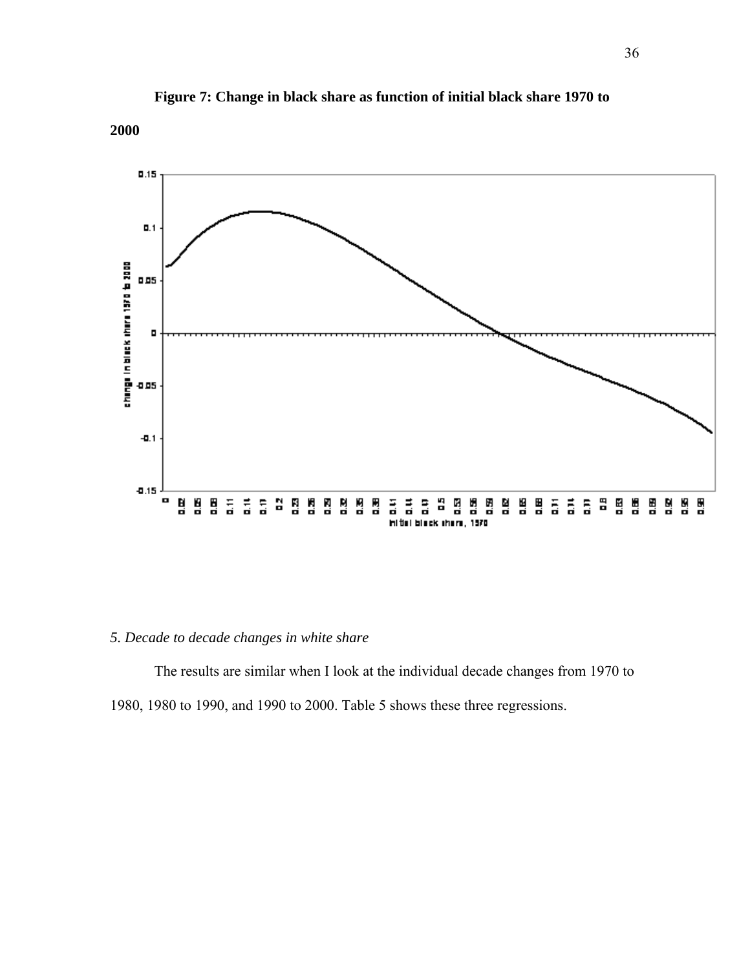

**Figure 7: Change in black share as function of initial black share 1970 to** 

#### **2000**

# *5. Decade to decade changes in white share*

 The results are similar when I look at the individual decade changes from 1970 to 1980, 1980 to 1990, and 1990 to 2000. Table 5 shows these three regressions.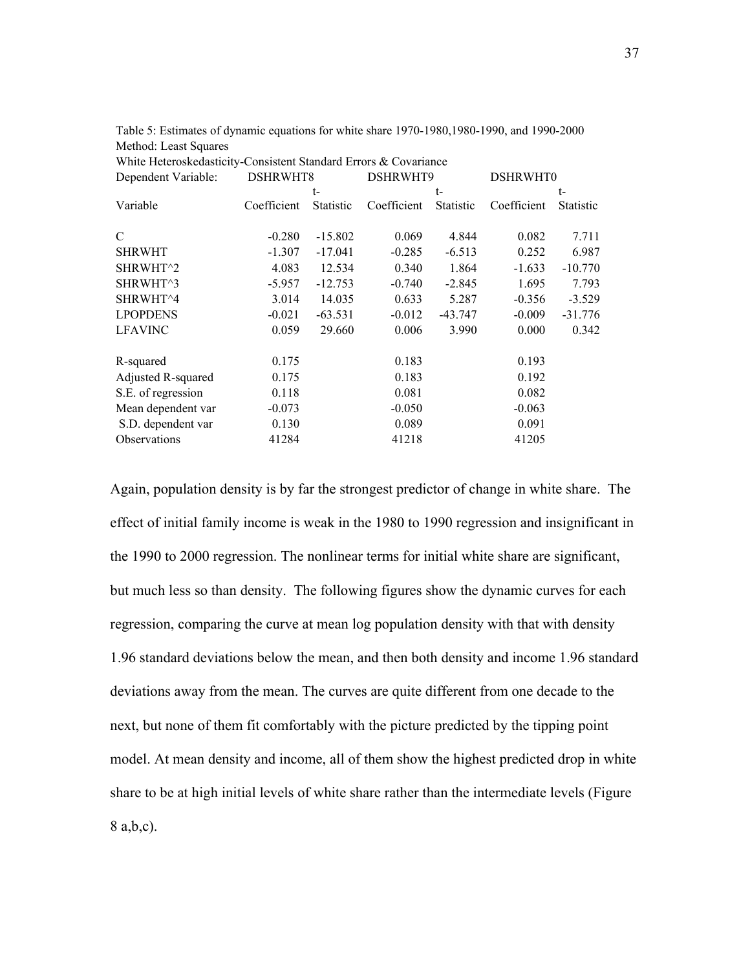| White Heteroskedasticity-Consistent Standard Errors & Covariance |             |           |             |           |             |                  |
|------------------------------------------------------------------|-------------|-----------|-------------|-----------|-------------|------------------|
| Dependent Variable:                                              | DSHRWHT8    |           | DSHRWHT9    |           | DSHRWHT0    |                  |
|                                                                  |             | t-        |             | t-        |             | $t-$             |
| Variable                                                         | Coefficient | Statistic | Coefficient | Statistic | Coefficient | <b>Statistic</b> |
|                                                                  |             |           |             |           |             |                  |
| C                                                                | $-0.280$    | $-15.802$ | 0.069       | 4.844     | 0.082       | 7.711            |
| <b>SHRWHT</b>                                                    | $-1.307$    | $-17.041$ | $-0.285$    | $-6.513$  | 0.252       | 6.987            |
| SHRWHT <sup>^2</sup>                                             | 4.083       | 12.534    | 0.340       | 1.864     | $-1.633$    | $-10.770$        |
| SHRWHT^3                                                         | $-5.957$    | $-12.753$ | $-0.740$    | $-2.845$  | 1.695       | 7.793            |
| SHRWHT^4                                                         | 3.014       | 14.035    | 0.633       | 5.287     | $-0.356$    | $-3.529$         |
| <b>LPOPDENS</b>                                                  | $-0.021$    | $-63.531$ | $-0.012$    | $-43.747$ | $-0.009$    | $-31.776$        |
| <b>LFAVINC</b>                                                   | 0.059       | 29.660    | 0.006       | 3.990     | 0.000       | 0.342            |
|                                                                  |             |           |             |           |             |                  |
| R-squared                                                        | 0.175       |           | 0.183       |           | 0.193       |                  |
| Adjusted R-squared                                               | 0.175       |           | 0.183       |           | 0.192       |                  |
| S.E. of regression                                               | 0.118       |           | 0.081       |           | 0.082       |                  |
| Mean dependent var                                               | $-0.073$    |           | $-0.050$    |           | $-0.063$    |                  |
| S.D. dependent var                                               | 0.130       |           | 0.089       |           | 0.091       |                  |
| Observations                                                     | 41284       |           | 41218       |           | 41205       |                  |

Table 5: Estimates of dynamic equations for white share 1970-1980,1980-1990, and 1990-2000 Method: Least Squares

Again, population density is by far the strongest predictor of change in white share. The effect of initial family income is weak in the 1980 to 1990 regression and insignificant in the 1990 to 2000 regression. The nonlinear terms for initial white share are significant, but much less so than density. The following figures show the dynamic curves for each regression, comparing the curve at mean log population density with that with density 1.96 standard deviations below the mean, and then both density and income 1.96 standard deviations away from the mean. The curves are quite different from one decade to the next, but none of them fit comfortably with the picture predicted by the tipping point model. At mean density and income, all of them show the highest predicted drop in white share to be at high initial levels of white share rather than the intermediate levels (Figure 8 a,b,c).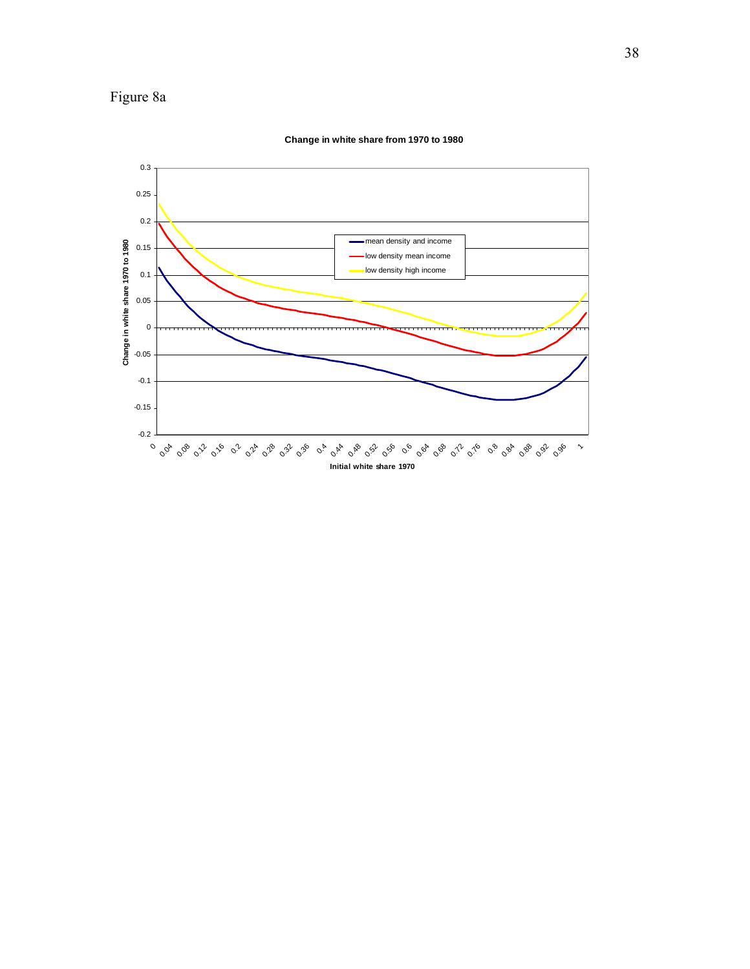



**Change in white share from 1970 to 1980**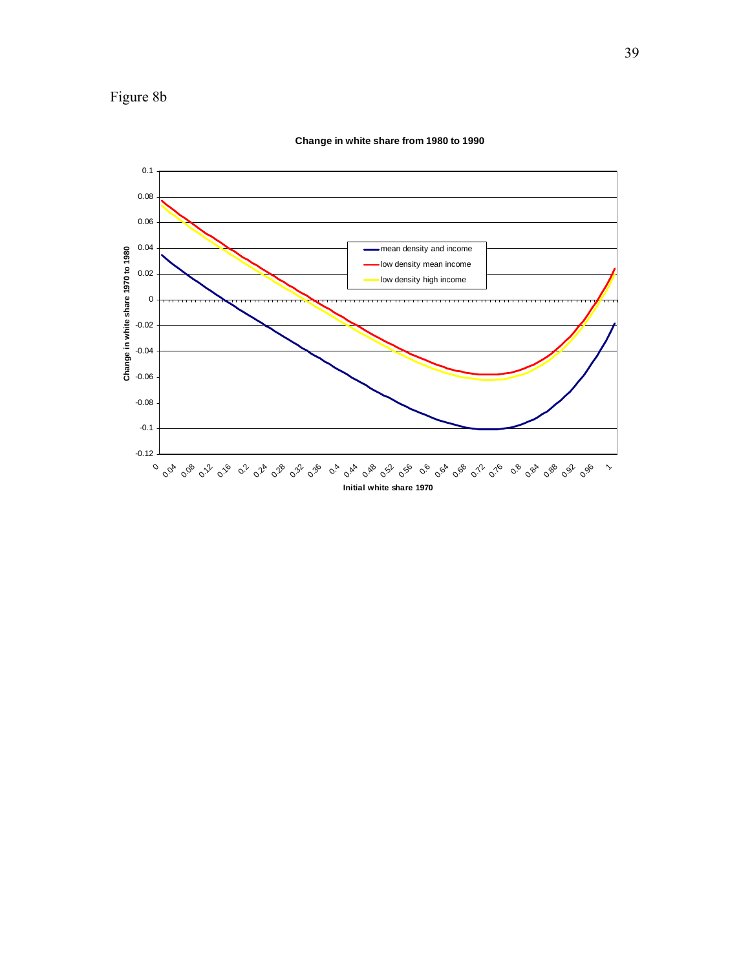



**Change in white share from 1980 to 1990**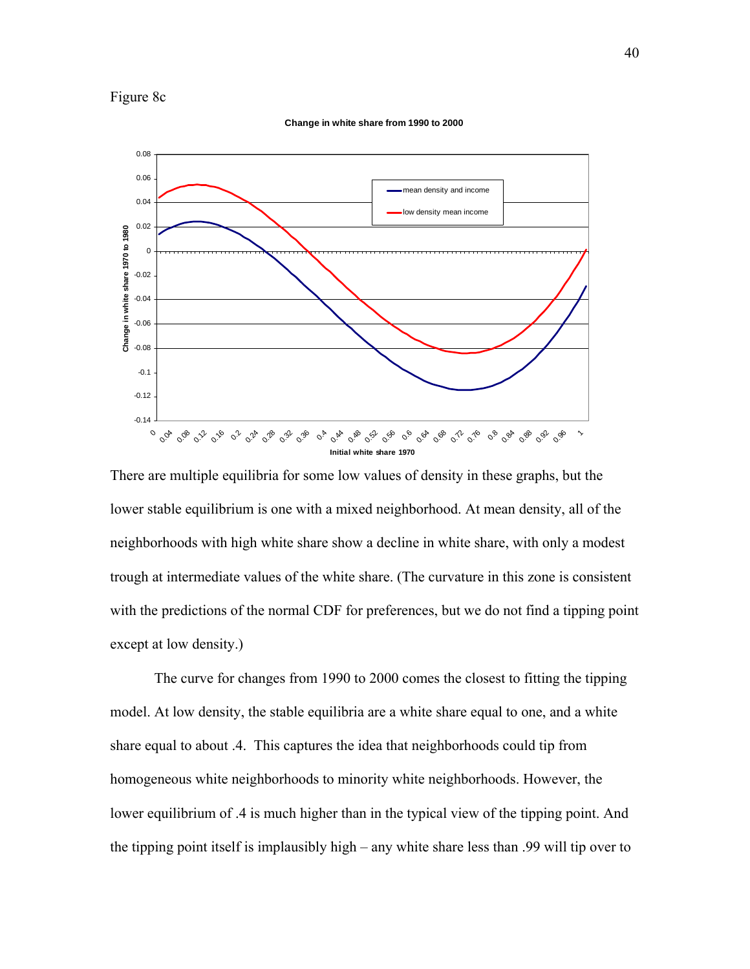

**Change in white share from 1990 to 2000**



There are multiple equilibria for some low values of density in these graphs, but the lower stable equilibrium is one with a mixed neighborhood. At mean density, all of the neighborhoods with high white share show a decline in white share, with only a modest trough at intermediate values of the white share. (The curvature in this zone is consistent with the predictions of the normal CDF for preferences, but we do not find a tipping point except at low density.)

 The curve for changes from 1990 to 2000 comes the closest to fitting the tipping model. At low density, the stable equilibria are a white share equal to one, and a white share equal to about .4. This captures the idea that neighborhoods could tip from homogeneous white neighborhoods to minority white neighborhoods. However, the lower equilibrium of .4 is much higher than in the typical view of the tipping point. And the tipping point itself is implausibly high – any white share less than .99 will tip over to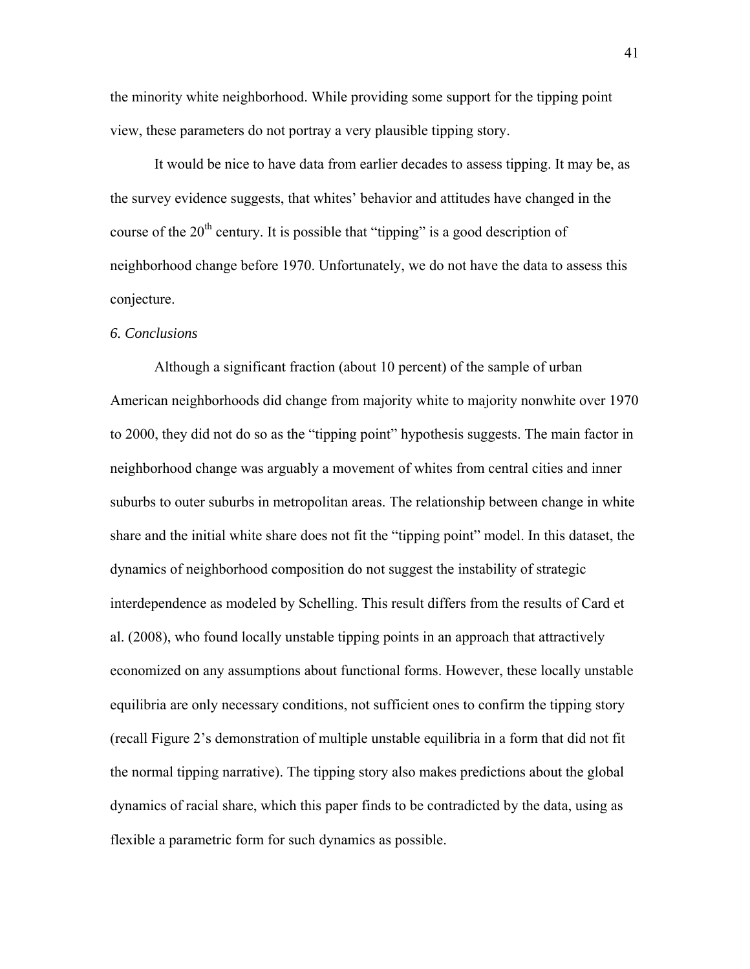the minority white neighborhood. While providing some support for the tipping point view, these parameters do not portray a very plausible tipping story.

 It would be nice to have data from earlier decades to assess tipping. It may be, as the survey evidence suggests, that whites' behavior and attitudes have changed in the course of the  $20<sup>th</sup>$  century. It is possible that "tipping" is a good description of neighborhood change before 1970. Unfortunately, we do not have the data to assess this conjecture.

#### *6. Conclusions*

Although a significant fraction (about 10 percent) of the sample of urban American neighborhoods did change from majority white to majority nonwhite over 1970 to 2000, they did not do so as the "tipping point" hypothesis suggests. The main factor in neighborhood change was arguably a movement of whites from central cities and inner suburbs to outer suburbs in metropolitan areas. The relationship between change in white share and the initial white share does not fit the "tipping point" model. In this dataset, the dynamics of neighborhood composition do not suggest the instability of strategic interdependence as modeled by Schelling. This result differs from the results of Card et al. (2008), who found locally unstable tipping points in an approach that attractively economized on any assumptions about functional forms. However, these locally unstable equilibria are only necessary conditions, not sufficient ones to confirm the tipping story (recall Figure 2's demonstration of multiple unstable equilibria in a form that did not fit the normal tipping narrative). The tipping story also makes predictions about the global dynamics of racial share, which this paper finds to be contradicted by the data, using as flexible a parametric form for such dynamics as possible.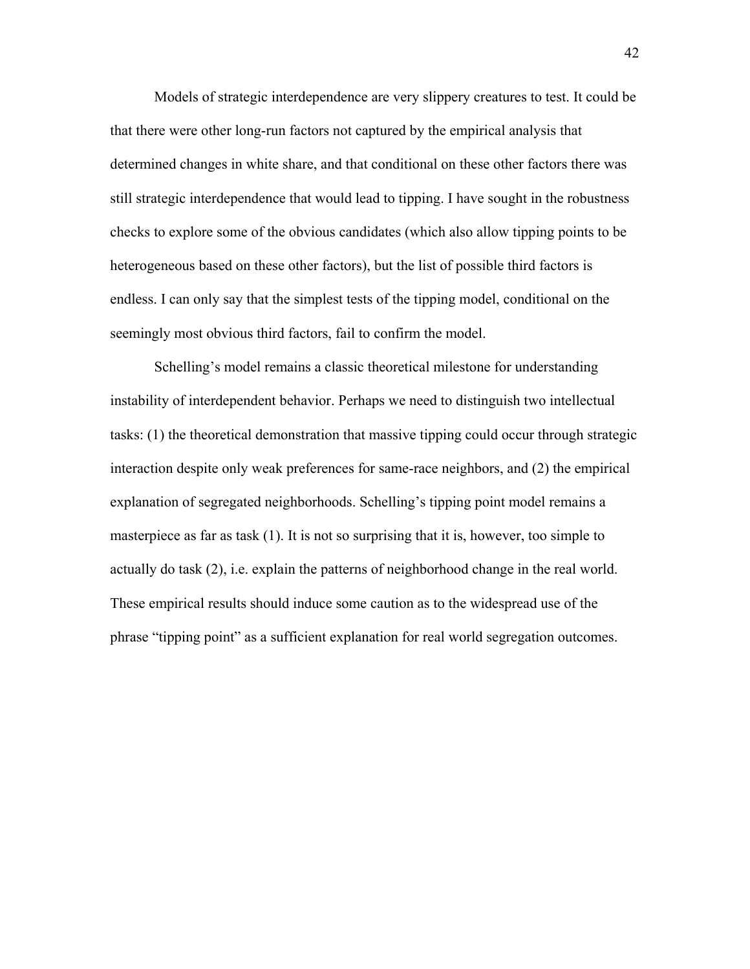Models of strategic interdependence are very slippery creatures to test. It could be that there were other long-run factors not captured by the empirical analysis that determined changes in white share, and that conditional on these other factors there was still strategic interdependence that would lead to tipping. I have sought in the robustness checks to explore some of the obvious candidates (which also allow tipping points to be heterogeneous based on these other factors), but the list of possible third factors is endless. I can only say that the simplest tests of the tipping model, conditional on the seemingly most obvious third factors, fail to confirm the model.

Schelling's model remains a classic theoretical milestone for understanding instability of interdependent behavior. Perhaps we need to distinguish two intellectual tasks: (1) the theoretical demonstration that massive tipping could occur through strategic interaction despite only weak preferences for same-race neighbors, and (2) the empirical explanation of segregated neighborhoods. Schelling's tipping point model remains a masterpiece as far as task (1). It is not so surprising that it is, however, too simple to actually do task (2), i.e. explain the patterns of neighborhood change in the real world. These empirical results should induce some caution as to the widespread use of the phrase "tipping point" as a sufficient explanation for real world segregation outcomes.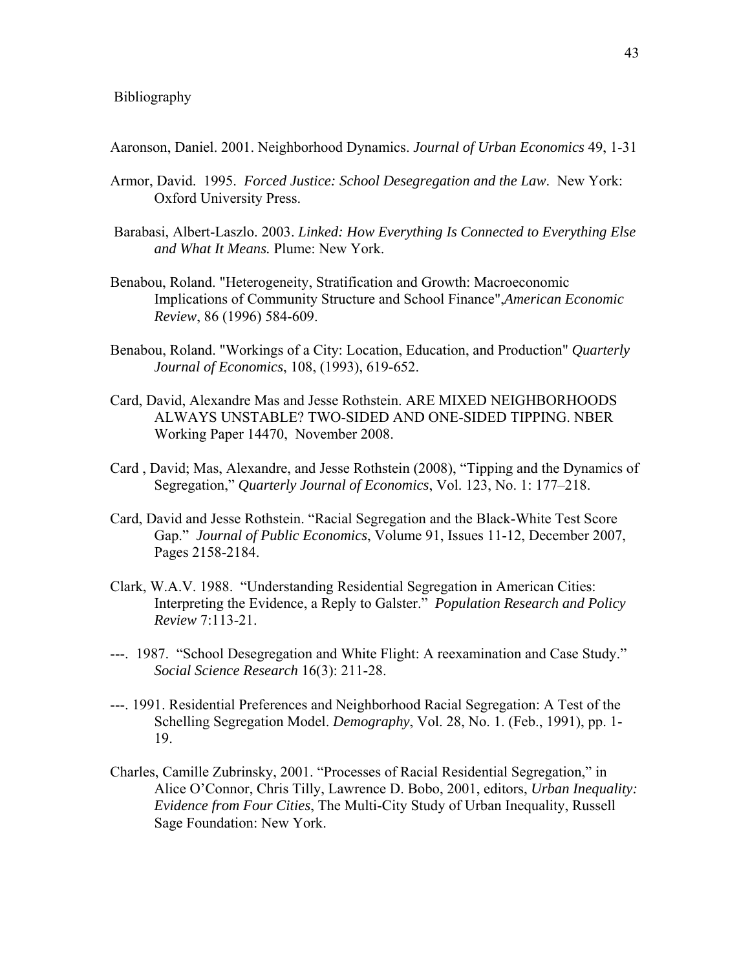Aaronson, Daniel. 2001. Neighborhood Dynamics. *Journal of Urban Economics* 49, 1-31

- Armor, David. 1995. *Forced Justice: School Desegregation and the Law*. New York: Oxford University Press.
- Barabasi, Albert-Laszlo. 2003. *Linked: How Everything Is Connected to Everything Else and What It Means.* Plume: New York.
- Benabou, Roland. "Heterogeneity, Stratification and Growth: Macroeconomic Implications of Community Structure and School Finance",*American Economic Review*, 86 (1996) 584-609.
- Benabou, Roland. "Workings of a City: Location, Education, and Production" *Quarterly Journal of Economics*, 108, (1993), 619-652.
- Card, David, Alexandre Mas and Jesse Rothstein. ARE MIXED NEIGHBORHOODS ALWAYS UNSTABLE? TWO-SIDED AND ONE-SIDED TIPPING. NBER Working Paper 14470, November 2008.
- Card , David; Mas, Alexandre, and Jesse Rothstein (2008), "Tipping and the Dynamics of Segregation," *Quarterly Journal of Economics*, Vol. 123, No. 1: 177–218.
- Card, David and Jesse Rothstein. "Racial Segregation and the Black-White Test Score Gap." *Journal of Public Economics*, Volume 91, Issues 11-12, December 2007, Pages 2158-2184.
- Clark, W.A.V. 1988. "Understanding Residential Segregation in American Cities: Interpreting the Evidence, a Reply to Galster." *Population Research and Policy Review* 7:113-21.
- ---. 1987. "School Desegregation and White Flight: A reexamination and Case Study." *Social Science Research* 16(3): 211-28.
- ---. 1991. Residential Preferences and Neighborhood Racial Segregation: A Test of the Schelling Segregation Model. *Demography*, Vol. 28, No. 1. (Feb., 1991), pp. 1- 19.
- Charles, Camille Zubrinsky, 2001. "Processes of Racial Residential Segregation," in Alice O'Connor, Chris Tilly, Lawrence D. Bobo, 2001, editors, *Urban Inequality: Evidence from Four Cities*, The Multi-City Study of Urban Inequality, Russell Sage Foundation: New York.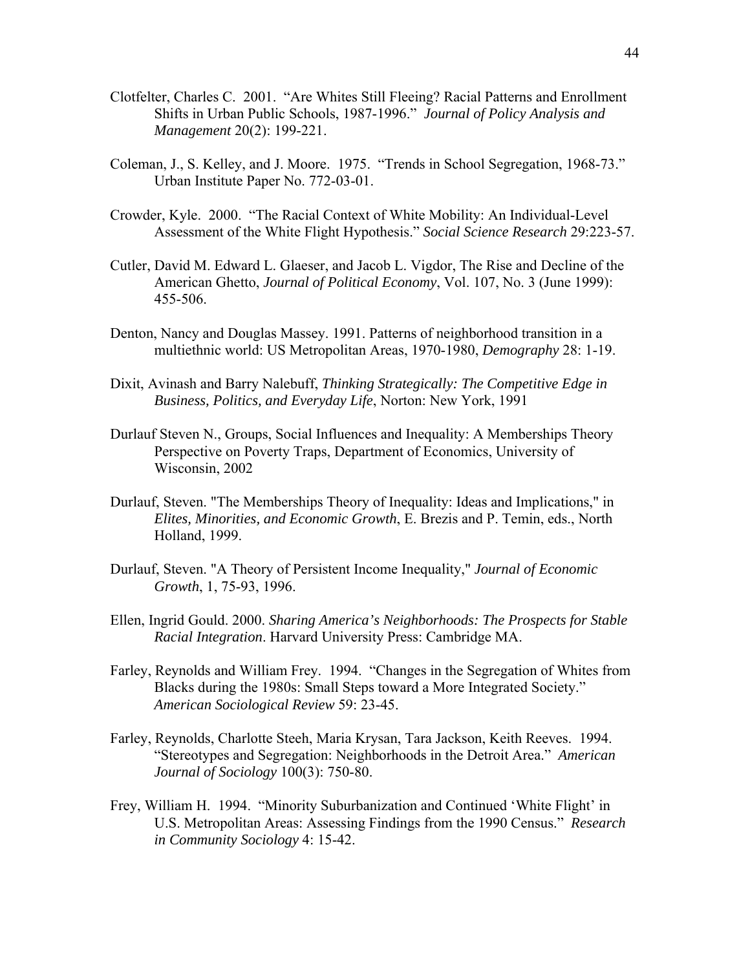- Clotfelter, Charles C. 2001. "Are Whites Still Fleeing? Racial Patterns and Enrollment Shifts in Urban Public Schools, 1987-1996." *Journal of Policy Analysis and Management* 20(2): 199-221.
- Coleman, J., S. Kelley, and J. Moore. 1975. "Trends in School Segregation, 1968-73." Urban Institute Paper No. 772-03-01.
- Crowder, Kyle. 2000. "The Racial Context of White Mobility: An Individual-Level Assessment of the White Flight Hypothesis." *Social Science Research* 29:223-57.
- Cutler, David M. Edward L. Glaeser, and Jacob L. Vigdor, The Rise and Decline of the American Ghetto, *Journal of Political Economy*, Vol. 107, No. 3 (June 1999): 455-506.
- Denton, Nancy and Douglas Massey. 1991. Patterns of neighborhood transition in a multiethnic world: US Metropolitan Areas, 1970-1980, *Demography* 28: 1-19.
- Dixit, Avinash and Barry Nalebuff, *Thinking Strategically: The Competitive Edge in Business, Politics, and Everyday Life*, Norton: New York, 1991
- Durlauf Steven N., Groups, Social Influences and Inequality: A Memberships Theory Perspective on Poverty Traps, Department of Economics, University of Wisconsin, 2002
- Durlauf, Steven. "The Memberships Theory of Inequality: Ideas and Implications," in *Elites, Minorities, and Economic Growth*, E. Brezis and P. Temin, eds., North Holland, 1999.
- Durlauf, Steven. "A Theory of Persistent Income Inequality," *Journal of Economic Growth*, 1, 75-93, 1996.
- Ellen, Ingrid Gould. 2000. *Sharing America's Neighborhoods: The Prospects for Stable Racial Integration*. Harvard University Press: Cambridge MA.
- Farley, Reynolds and William Frey. 1994. "Changes in the Segregation of Whites from Blacks during the 1980s: Small Steps toward a More Integrated Society." *American Sociological Review* 59: 23-45.
- Farley, Reynolds, Charlotte Steeh, Maria Krysan, Tara Jackson, Keith Reeves. 1994. "Stereotypes and Segregation: Neighborhoods in the Detroit Area." *American Journal of Sociology* 100(3): 750-80.
- Frey, William H. 1994. "Minority Suburbanization and Continued 'White Flight' in U.S. Metropolitan Areas: Assessing Findings from the 1990 Census." *Research in Community Sociology* 4: 15-42.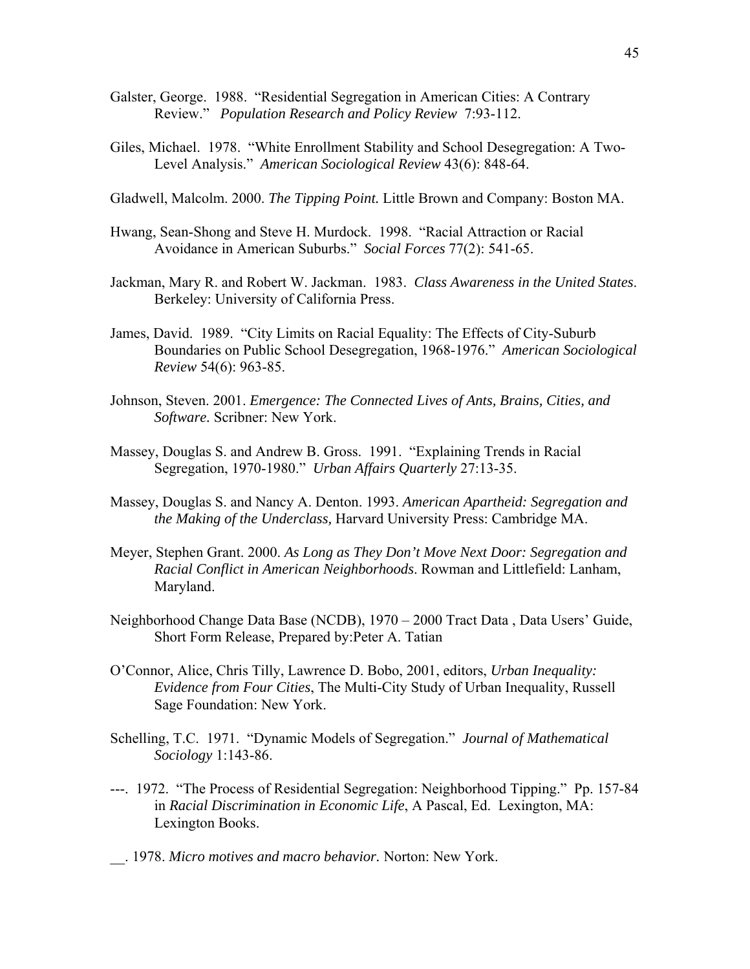- Galster, George. 1988. "Residential Segregation in American Cities: A Contrary Review." *Population Research and Policy Review* 7:93-112.
- Giles, Michael. 1978. "White Enrollment Stability and School Desegregation: A Two-Level Analysis." *American Sociological Review* 43(6): 848-64.

Gladwell, Malcolm. 2000. *The Tipping Point.* Little Brown and Company: Boston MA.

- Hwang, Sean-Shong and Steve H. Murdock. 1998. "Racial Attraction or Racial Avoidance in American Suburbs." *Social Forces* 77(2): 541-65.
- Jackman, Mary R. and Robert W. Jackman. 1983. *Class Awareness in the United States*. Berkeley: University of California Press.
- James, David. 1989. "City Limits on Racial Equality: The Effects of City-Suburb Boundaries on Public School Desegregation, 1968-1976." *American Sociological Review* 54(6): 963-85.
- Johnson, Steven. 2001. *Emergence: The Connected Lives of Ants, Brains, Cities, and Software.* Scribner: New York.
- Massey, Douglas S. and Andrew B. Gross. 1991. "Explaining Trends in Racial Segregation, 1970-1980." *Urban Affairs Quarterly* 27:13-35.
- Massey, Douglas S. and Nancy A. Denton. 1993. *American Apartheid: Segregation and the Making of the Underclass,* Harvard University Press: Cambridge MA.
- Meyer, Stephen Grant. 2000. *As Long as They Don't Move Next Door: Segregation and Racial Conflict in American Neighborhoods*. Rowman and Littlefield: Lanham, Maryland.
- Neighborhood Change Data Base (NCDB), 1970 2000 Tract Data , Data Users' Guide, Short Form Release, Prepared by:Peter A. Tatian
- O'Connor, Alice, Chris Tilly, Lawrence D. Bobo, 2001, editors, *Urban Inequality: Evidence from Four Cities*, The Multi-City Study of Urban Inequality, Russell Sage Foundation: New York.
- Schelling, T.C. 1971. "Dynamic Models of Segregation." *Journal of Mathematical Sociology* 1:143-86.
- ---. 1972. "The Process of Residential Segregation: Neighborhood Tipping." Pp. 157-84 in *Racial Discrimination in Economic Life*, A Pascal, Ed. Lexington, MA: Lexington Books.
- \_\_. 1978. *Micro motives and macro behavior.* Norton: New York.